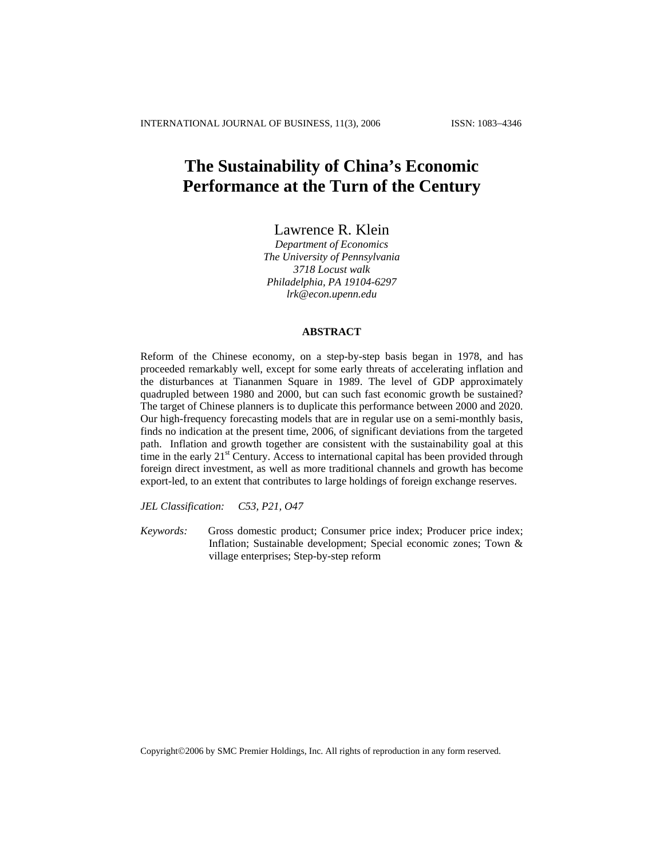# **The Sustainability of China's Economic Performance at the Turn of the Century**

Lawrence R. Klein

*Department of Economics The University of Pennsylvania 3718 Locust walk Philadelphia, PA 19104-6297 lrk@econ.upenn.edu*

### **ABSTRACT**

Reform of the Chinese economy, on a step-by-step basis began in 1978, and has proceeded remarkably well, except for some early threats of accelerating inflation and the disturbances at Tiananmen Square in 1989. The level of GDP approximately quadrupled between 1980 and 2000, but can such fast economic growth be sustained? The target of Chinese planners is to duplicate this performance between 2000 and 2020. Our high-frequency forecasting models that are in regular use on a semi-monthly basis, finds no indication at the present time, 2006, of significant deviations from the targeted path. Inflation and growth together are consistent with the sustainability goal at this time in the early 21<sup>st</sup> Century. Access to international capital has been provided through foreign direct investment, as well as more traditional channels and growth has become export-led, to an extent that contributes to large holdings of foreign exchange reserves.

*JEL Classification: C53, P21, O47*

*Keywords:* Gross domestic product; Consumer price index; Producer price index; Inflation; Sustainable development; Special economic zones; Town & village enterprises; Step-by-step reform

Copyright©2006 by SMC Premier Holdings, Inc. All rights of reproduction in any form reserved.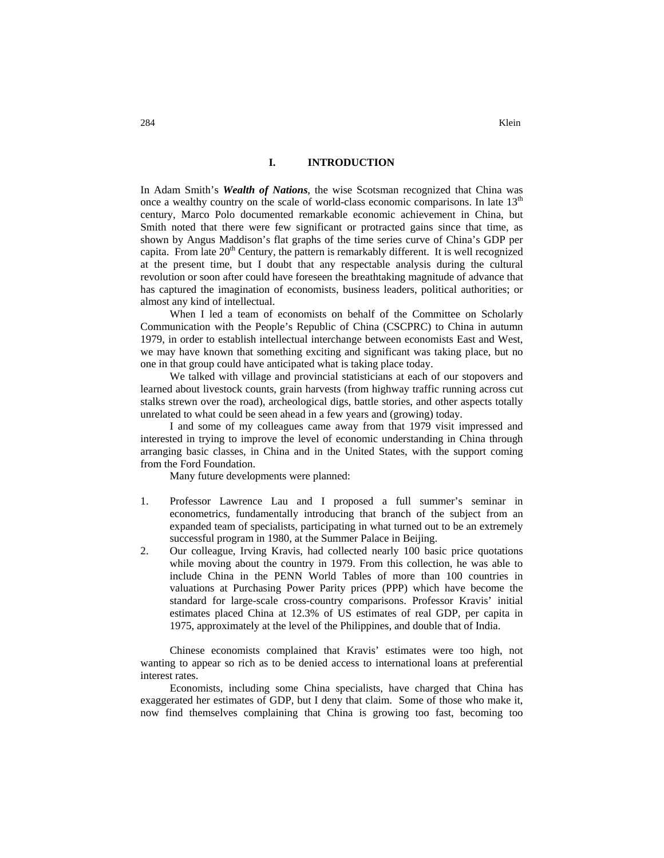### **I. INTRODUCTION**

In Adam Smith's *Wealth of Nations*, the wise Scotsman recognized that China was once a wealthy country on the scale of world-class economic comparisons. In late  $13<sup>th</sup>$ century, Marco Polo documented remarkable economic achievement in China, but Smith noted that there were few significant or protracted gains since that time, as shown by Angus Maddison's flat graphs of the time series curve of China's GDP per capita. From late  $20<sup>th</sup>$  Century, the pattern is remarkably different. It is well recognized at the present time, but I doubt that any respectable analysis during the cultural revolution or soon after could have foreseen the breathtaking magnitude of advance that has captured the imagination of economists, business leaders, political authorities; or almost any kind of intellectual.

When I led a team of economists on behalf of the Committee on Scholarly Communication with the People's Republic of China (CSCPRC) to China in autumn 1979, in order to establish intellectual interchange between economists East and West, we may have known that something exciting and significant was taking place, but no one in that group could have anticipated what is taking place today.

We talked with village and provincial statisticians at each of our stopovers and learned about livestock counts, grain harvests (from highway traffic running across cut stalks strewn over the road), archeological digs, battle stories, and other aspects totally unrelated to what could be seen ahead in a few years and (growing) today.

I and some of my colleagues came away from that 1979 visit impressed and interested in trying to improve the level of economic understanding in China through arranging basic classes, in China and in the United States, with the support coming from the Ford Foundation.

Many future developments were planned:

- 1. Professor Lawrence Lau and I proposed a full summer's seminar in econometrics, fundamentally introducing that branch of the subject from an expanded team of specialists, participating in what turned out to be an extremely successful program in 1980, at the Summer Palace in Beijing.
- 2. Our colleague, Irving Kravis, had collected nearly 100 basic price quotations while moving about the country in 1979. From this collection, he was able to include China in the PENN World Tables of more than 100 countries in valuations at Purchasing Power Parity prices (PPP) which have become the standard for large-scale cross-country comparisons. Professor Kravis' initial estimates placed China at 12.3% of US estimates of real GDP, per capita in 1975, approximately at the level of the Philippines, and double that of India.

Chinese economists complained that Kravis' estimates were too high, not wanting to appear so rich as to be denied access to international loans at preferential interest rates.

Economists, including some China specialists, have charged that China has exaggerated her estimates of GDP, but I deny that claim. Some of those who make it, now find themselves complaining that China is growing too fast, becoming too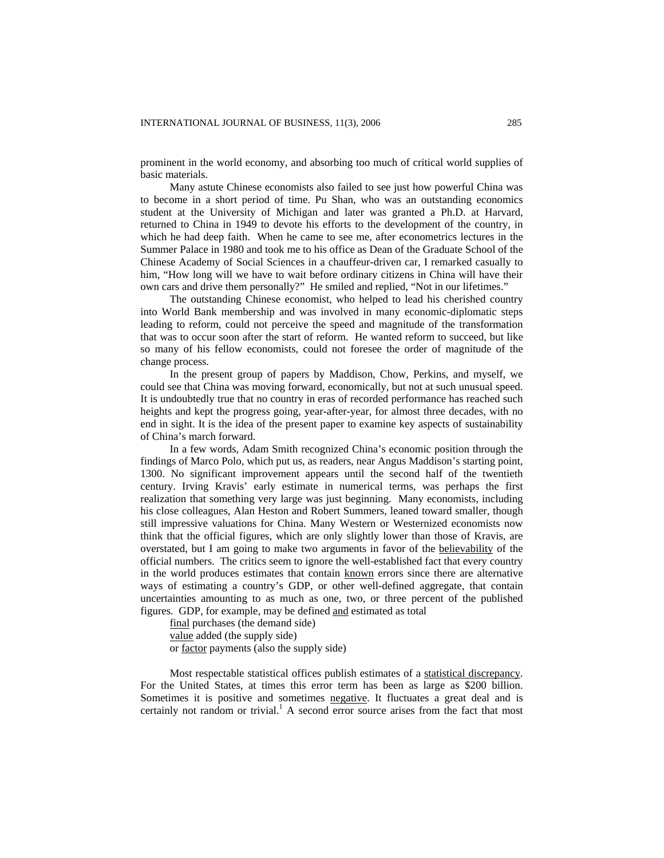prominent in the world economy, and absorbing too much of critical world supplies of basic materials.

Many astute Chinese economists also failed to see just how powerful China was to become in a short period of time. Pu Shan, who was an outstanding economics student at the University of Michigan and later was granted a Ph.D. at Harvard, returned to China in 1949 to devote his efforts to the development of the country, in which he had deep faith. When he came to see me, after econometrics lectures in the Summer Palace in 1980 and took me to his office as Dean of the Graduate School of the Chinese Academy of Social Sciences in a chauffeur-driven car, I remarked casually to him, "How long will we have to wait before ordinary citizens in China will have their own cars and drive them personally?" He smiled and replied, "Not in our lifetimes."

The outstanding Chinese economist, who helped to lead his cherished country into World Bank membership and was involved in many economic-diplomatic steps leading to reform, could not perceive the speed and magnitude of the transformation that was to occur soon after the start of reform. He wanted reform to succeed, but like so many of his fellow economists, could not foresee the order of magnitude of the change process.

In the present group of papers by Maddison, Chow, Perkins, and myself, we could see that China was moving forward, economically, but not at such unusual speed. It is undoubtedly true that no country in eras of recorded performance has reached such heights and kept the progress going, year-after-year, for almost three decades, with no end in sight. It is the idea of the present paper to examine key aspects of sustainability of China's march forward.

In a few words, Adam Smith recognized China's economic position through the findings of Marco Polo, which put us, as readers, near Angus Maddison's starting point, 1300. No significant improvement appears until the second half of the twentieth century. Irving Kravis' early estimate in numerical terms, was perhaps the first realization that something very large was just beginning. Many economists, including his close colleagues, Alan Heston and Robert Summers, leaned toward smaller, though still impressive valuations for China. Many Western or Westernized economists now think that the official figures, which are only slightly lower than those of Kravis, are overstated, but I am going to make two arguments in favor of the believability of the official numbers. The critics seem to ignore the well-established fact that every country in the world produces estimates that contain known errors since there are alternative ways of estimating a country's GDP, or other well-defined aggregate, that contain uncertainties amounting to as much as one, two, or three percent of the published figures. GDP, for example, may be defined and estimated as total

final purchases (the demand side) value added (the supply side) or factor payments (also the supply side)

Most respectable statistical offices publish estimates of a statistical discrepancy. For the United States, at times this error term has been as large as \$200 billion. Sometimes it is positive and sometimes negative. It fluctuates a great deal and is certainly not random or trivial.<sup>1</sup> A second error source arises from the fact that most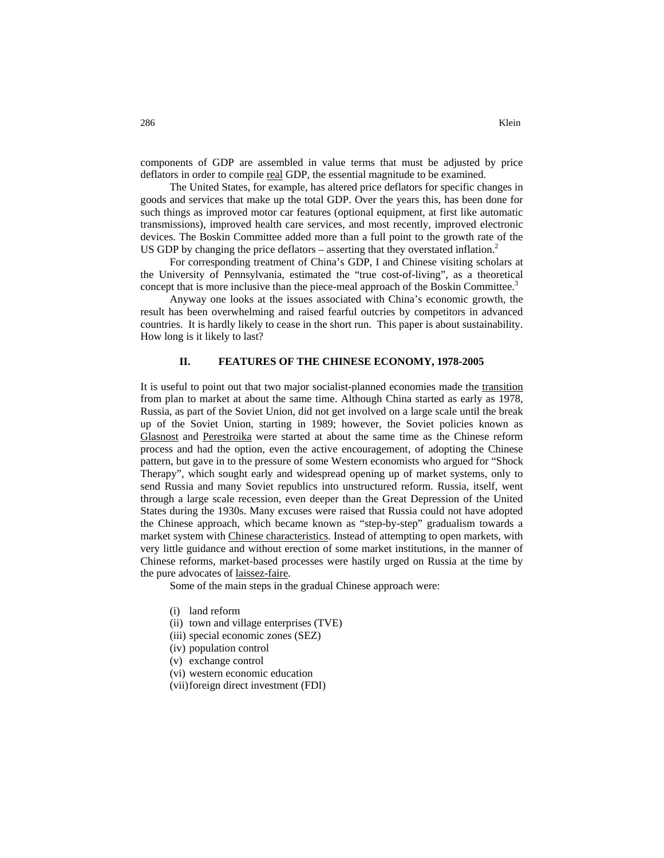components of GDP are assembled in value terms that must be adjusted by price deflators in order to compile real GDP, the essential magnitude to be examined.

The United States, for example, has altered price deflators for specific changes in goods and services that make up the total GDP. Over the years this, has been done for such things as improved motor car features (optional equipment, at first like automatic transmissions), improved health care services, and most recently, improved electronic devices. The Boskin Committee added more than a full point to the growth rate of the US GDP by changing the price deflators – asserting that they overstated inflation.<sup>2</sup>

For corresponding treatment of China's GDP, I and Chinese visiting scholars at the University of Pennsylvania, estimated the "true cost-of-living", as a theoretical concept that is more inclusive than the piece-meal approach of the Boskin Committee.<sup>3</sup>

Anyway one looks at the issues associated with China's economic growth, the result has been overwhelming and raised fearful outcries by competitors in advanced countries. It is hardly likely to cease in the short run. This paper is about sustainability. How long is it likely to last?

#### **II. FEATURES OF THE CHINESE ECONOMY, 1978-2005**

It is useful to point out that two major socialist-planned economies made the transition from plan to market at about the same time. Although China started as early as 1978, Russia, as part of the Soviet Union, did not get involved on a large scale until the break up of the Soviet Union, starting in 1989; however, the Soviet policies known as Glasnost and Perestroika were started at about the same time as the Chinese reform process and had the option, even the active encouragement, of adopting the Chinese pattern, but gave in to the pressure of some Western economists who argued for "Shock Therapy", which sought early and widespread opening up of market systems, only to send Russia and many Soviet republics into unstructured reform. Russia, itself, went through a large scale recession, even deeper than the Great Depression of the United States during the 1930s. Many excuses were raised that Russia could not have adopted the Chinese approach, which became known as "step-by-step" gradualism towards a market system with Chinese characteristics. Instead of attempting to open markets, with very little guidance and without erection of some market institutions, in the manner of Chinese reforms, market-based processes were hastily urged on Russia at the time by the pure advocates of laissez-faire.

Some of the main steps in the gradual Chinese approach were:

- (i) land reform
- (ii) town and village enterprises (TVE)
- (iii) special economic zones (SEZ)
- (iv) population control
- (v) exchange control
- (vi) western economic education
- (vii)foreign direct investment (FDI)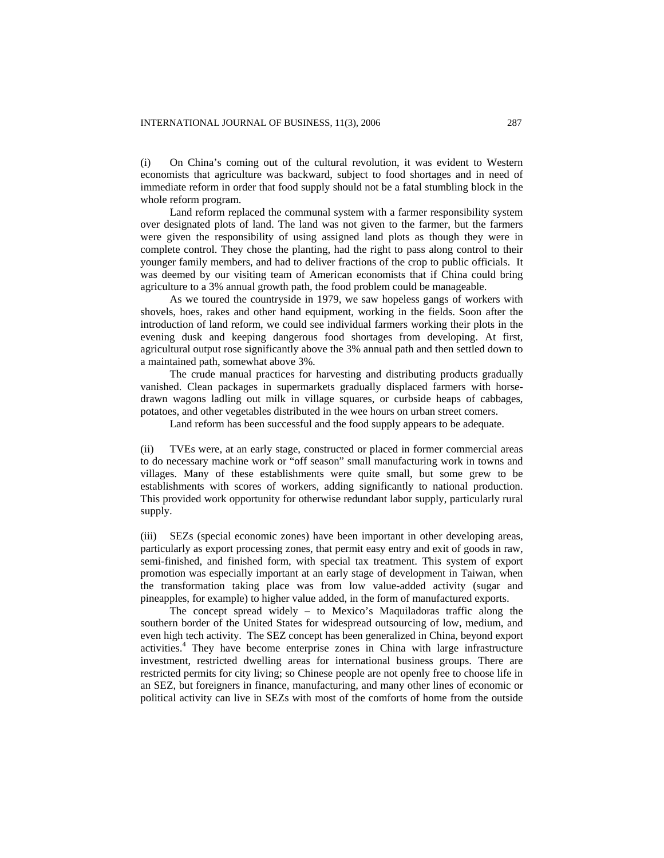(i) On China's coming out of the cultural revolution, it was evident to Western economists that agriculture was backward, subject to food shortages and in need of immediate reform in order that food supply should not be a fatal stumbling block in the whole reform program.

Land reform replaced the communal system with a farmer responsibility system over designated plots of land. The land was not given to the farmer, but the farmers were given the responsibility of using assigned land plots as though they were in complete control. They chose the planting, had the right to pass along control to their younger family members, and had to deliver fractions of the crop to public officials. It was deemed by our visiting team of American economists that if China could bring agriculture to a 3% annual growth path, the food problem could be manageable.

As we toured the countryside in 1979, we saw hopeless gangs of workers with shovels, hoes, rakes and other hand equipment, working in the fields. Soon after the introduction of land reform, we could see individual farmers working their plots in the evening dusk and keeping dangerous food shortages from developing. At first, agricultural output rose significantly above the 3% annual path and then settled down to a maintained path, somewhat above 3%.

The crude manual practices for harvesting and distributing products gradually vanished. Clean packages in supermarkets gradually displaced farmers with horsedrawn wagons ladling out milk in village squares, or curbside heaps of cabbages, potatoes, and other vegetables distributed in the wee hours on urban street comers.

Land reform has been successful and the food supply appears to be adequate.

(ii) TVEs were, at an early stage, constructed or placed in former commercial areas to do necessary machine work or "off season" small manufacturing work in towns and villages. Many of these establishments were quite small, but some grew to be establishments with scores of workers, adding significantly to national production. This provided work opportunity for otherwise redundant labor supply, particularly rural supply.

(iii) SEZs (special economic zones) have been important in other developing areas, particularly as export processing zones, that permit easy entry and exit of goods in raw, semi-finished, and finished form, with special tax treatment. This system of export promotion was especially important at an early stage of development in Taiwan, when the transformation taking place was from low value-added activity (sugar and pineapples, for example) to higher value added, in the form of manufactured exports.

The concept spread widely – to Mexico's Maquiladoras traffic along the southern border of the United States for widespread outsourcing of low, medium, and even high tech activity. The SEZ concept has been generalized in China, beyond export activities.<sup>4</sup> They have become enterprise zones in China with large infrastructure investment, restricted dwelling areas for international business groups. There are restricted permits for city living; so Chinese people are not openly free to choose life in an SEZ, but foreigners in finance, manufacturing, and many other lines of economic or political activity can live in SEZs with most of the comforts of home from the outside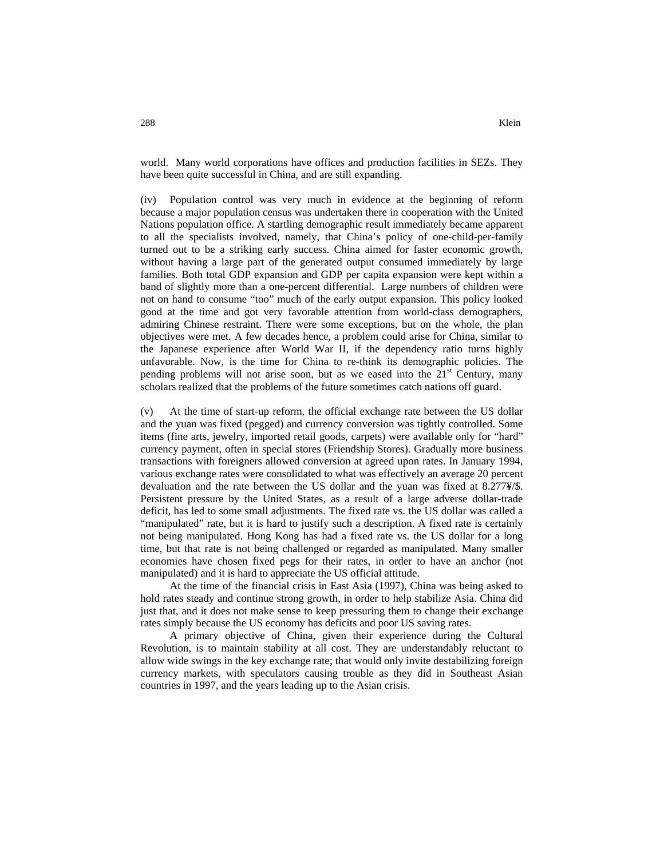world. Many world corporations have offices and production facilities in SEZs. They have been quite successful in China, and are still expanding.

(iv) Population control was very much in evidence at the beginning of reform because a major population census was undertaken there in cooperation with the United Nations population office. A startling demographic result immediately became apparent to all the specialists involved, namely, that China's policy of one-child-per-family turned out to be a striking early success. China aimed for faster economic growth, without having a large part of the generated output consumed immediately by large families. Both total GDP expansion and GDP per capita expansion were kept within a band of slightly more than a one-percent differential. Large numbers of children were not on hand to consume "too" much of the early output expansion. This policy looked good at the time and got very favorable attention from world-class demographers, admiring Chinese restraint. There were some exceptions, but on the whole, the plan objectives were met. A few decades hence, a problem could arise for China, similar to the Japanese experience after World War II, if the dependency ratio turns highly unfavorable. Now, is the time for China to re-think its demographic policies. The pending problems will not arise soon, but as we eased into the  $21<sup>st</sup>$  Century, many scholars realized that the problems of the future sometimes catch nations off guard.

(v) At the time of start-up reform, the official exchange rate between the US dollar and the yuan was fixed (pegged) and currency conversion was tightly controlled. Some items (fine arts, jewelry, imported retail goods, carpets) were available only for "hard" currency payment, often in special stores (Friendship Stores). Gradually more business transactions with foreigners allowed conversion at agreed upon rates. In January 1994, various exchange rates were consolidated to what was effectively an average 20 percent devaluation and the rate between the US dollar and the yuan was fixed at 8.277¥/\$. Persistent pressure by the United States, as a result of a large adverse dollar-trade deficit, has led to some small adjustments. The fixed rate vs. the US dollar was called a "manipulated" rate, but it is hard to justify such a description. A fixed rate is certainly not being manipulated. Hong Kong has had a fixed rate vs. the US dollar for a long time, but that rate is not being challenged or regarded as manipulated. Many smaller economies have chosen fixed pegs for their rates, in order to have an anchor (not manipulated) and it is hard to appreciate the US official attitude.

At the time of the financial crisis in East Asia (1997), China was being asked to hold rates steady and continue strong growth, in order to help stabilize Asia. China did just that, and it does not make sense to keep pressuring them to change their exchange rates simply because the US economy has deficits and poor US saving rates.

A primary objective of China, given their experience during the Cultural Revolution, is to maintain stability at all cost. They are understandably reluctant to allow wide swings in the key exchange rate; that would only invite destabilizing foreign currency markets, with speculators causing trouble as they did in Southeast Asian countries in 1997, and the years leading up to the Asian crisis.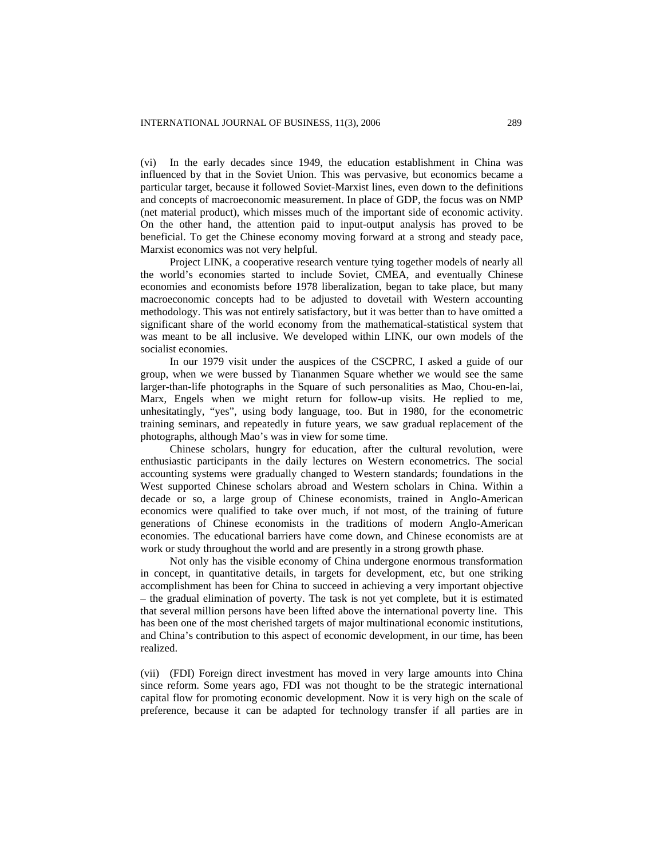(vi) In the early decades since 1949, the education establishment in China was influenced by that in the Soviet Union. This was pervasive, but economics became a particular target, because it followed Soviet-Marxist lines, even down to the definitions and concepts of macroeconomic measurement. In place of GDP, the focus was on NMP (net material product), which misses much of the important side of economic activity. On the other hand, the attention paid to input-output analysis has proved to be beneficial. To get the Chinese economy moving forward at a strong and steady pace, Marxist economics was not very helpful.

Project LINK, a cooperative research venture tying together models of nearly all the world's economies started to include Soviet, CMEA, and eventually Chinese economies and economists before 1978 liberalization, began to take place, but many macroeconomic concepts had to be adjusted to dovetail with Western accounting methodology. This was not entirely satisfactory, but it was better than to have omitted a significant share of the world economy from the mathematical-statistical system that was meant to be all inclusive. We developed within LINK, our own models of the socialist economies.

In our 1979 visit under the auspices of the CSCPRC, I asked a guide of our group, when we were bussed by Tiananmen Square whether we would see the same larger-than-life photographs in the Square of such personalities as Mao, Chou-en-lai, Marx, Engels when we might return for follow-up visits. He replied to me, unhesitatingly, "yes", using body language, too. But in 1980, for the econometric training seminars, and repeatedly in future years, we saw gradual replacement of the photographs, although Mao's was in view for some time.

Chinese scholars, hungry for education, after the cultural revolution, were enthusiastic participants in the daily lectures on Western econometrics. The social accounting systems were gradually changed to Western standards; foundations in the West supported Chinese scholars abroad and Western scholars in China. Within a decade or so, a large group of Chinese economists, trained in Anglo-American economics were qualified to take over much, if not most, of the training of future generations of Chinese economists in the traditions of modern Anglo-American economies. The educational barriers have come down, and Chinese economists are at work or study throughout the world and are presently in a strong growth phase.

Not only has the visible economy of China undergone enormous transformation in concept, in quantitative details, in targets for development, etc, but one striking accomplishment has been for China to succeed in achieving a very important objective – the gradual elimination of poverty. The task is not yet complete, but it is estimated that several million persons have been lifted above the international poverty line. This has been one of the most cherished targets of major multinational economic institutions, and China's contribution to this aspect of economic development, in our time, has been realized.

(vii) (FDI) Foreign direct investment has moved in very large amounts into China since reform. Some years ago, FDI was not thought to be the strategic international capital flow for promoting economic development. Now it is very high on the scale of preference, because it can be adapted for technology transfer if all parties are in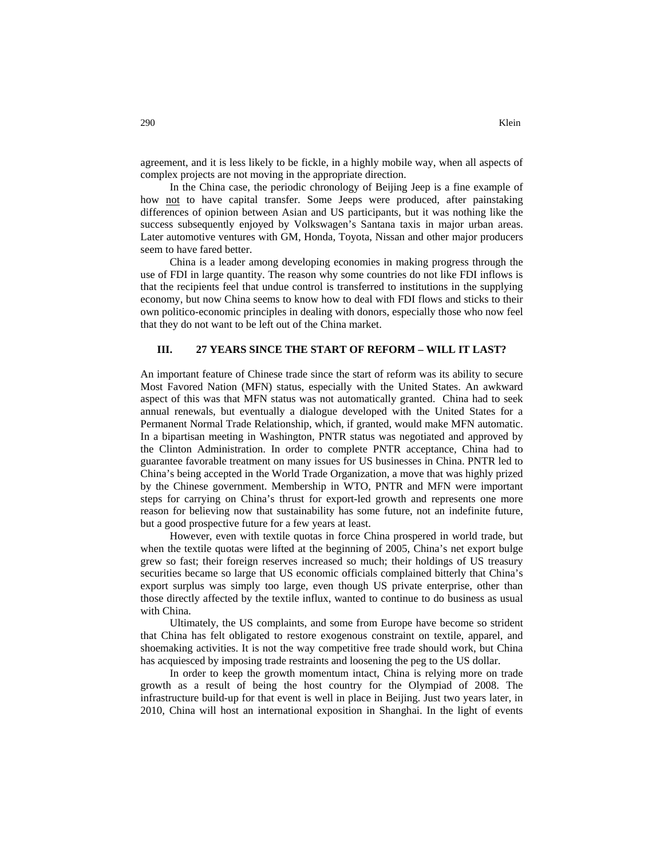agreement, and it is less likely to be fickle, in a highly mobile way, when all aspects of complex projects are not moving in the appropriate direction.

In the China case, the periodic chronology of Beijing Jeep is a fine example of how not to have capital transfer. Some Jeeps were produced, after painstaking differences of opinion between Asian and US participants, but it was nothing like the success subsequently enjoyed by Volkswagen's Santana taxis in major urban areas. Later automotive ventures with GM, Honda, Toyota, Nissan and other major producers seem to have fared better.

China is a leader among developing economies in making progress through the use of FDI in large quantity. The reason why some countries do not like FDI inflows is that the recipients feel that undue control is transferred to institutions in the supplying economy, but now China seems to know how to deal with FDI flows and sticks to their own politico-economic principles in dealing with donors, especially those who now feel that they do not want to be left out of the China market.

#### **III. 27 YEARS SINCE THE START OF REFORM – WILL IT LAST?**

An important feature of Chinese trade since the start of reform was its ability to secure Most Favored Nation (MFN) status, especially with the United States. An awkward aspect of this was that MFN status was not automatically granted. China had to seek annual renewals, but eventually a dialogue developed with the United States for a Permanent Normal Trade Relationship, which, if granted, would make MFN automatic. In a bipartisan meeting in Washington, PNTR status was negotiated and approved by the Clinton Administration. In order to complete PNTR acceptance, China had to guarantee favorable treatment on many issues for US businesses in China. PNTR led to China's being accepted in the World Trade Organization, a move that was highly prized by the Chinese government. Membership in WTO, PNTR and MFN were important steps for carrying on China's thrust for export-led growth and represents one more reason for believing now that sustainability has some future, not an indefinite future, but a good prospective future for a few years at least.

However, even with textile quotas in force China prospered in world trade, but when the textile quotas were lifted at the beginning of 2005, China's net export bulge grew so fast; their foreign reserves increased so much; their holdings of US treasury securities became so large that US economic officials complained bitterly that China's export surplus was simply too large, even though US private enterprise, other than those directly affected by the textile influx, wanted to continue to do business as usual with China.

Ultimately, the US complaints, and some from Europe have become so strident that China has felt obligated to restore exogenous constraint on textile, apparel, and shoemaking activities. It is not the way competitive free trade should work, but China has acquiesced by imposing trade restraints and loosening the peg to the US dollar.

In order to keep the growth momentum intact, China is relying more on trade growth as a result of being the host country for the Olympiad of 2008. The infrastructure build-up for that event is well in place in Beijing. Just two years later, in 2010, China will host an international exposition in Shanghai. In the light of events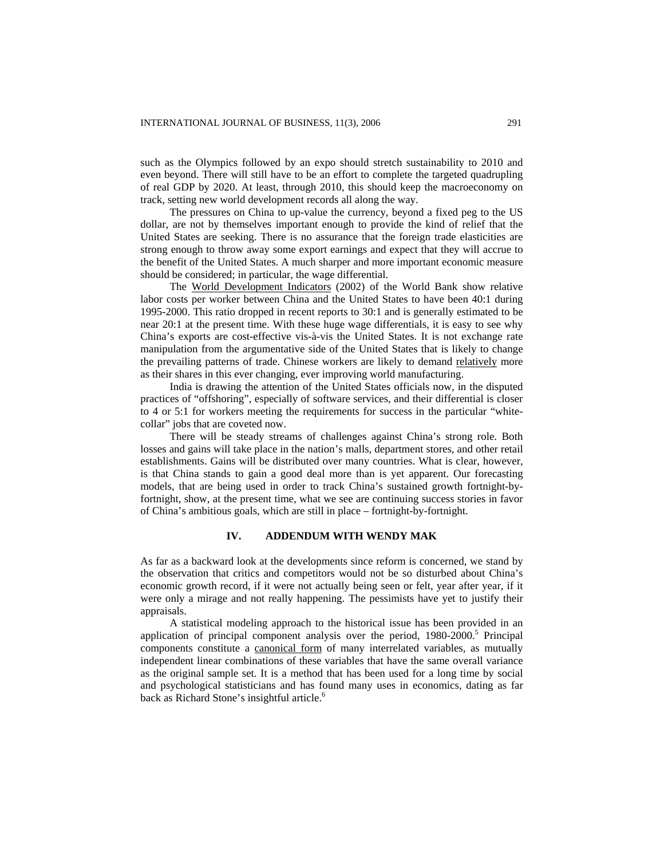such as the Olympics followed by an expo should stretch sustainability to 2010 and even beyond. There will still have to be an effort to complete the targeted quadrupling of real GDP by 2020. At least, through 2010, this should keep the macroeconomy on track, setting new world development records all along the way.

The pressures on China to up-value the currency, beyond a fixed peg to the US dollar, are not by themselves important enough to provide the kind of relief that the United States are seeking. There is no assurance that the foreign trade elasticities are strong enough to throw away some export earnings and expect that they will accrue to the benefit of the United States. A much sharper and more important economic measure should be considered; in particular, the wage differential.

The World Development Indicators (2002) of the World Bank show relative labor costs per worker between China and the United States to have been 40:1 during 1995-2000. This ratio dropped in recent reports to 30:1 and is generally estimated to be near 20:1 at the present time. With these huge wage differentials, it is easy to see why China's exports are cost-effective vis-à-vis the United States. It is not exchange rate manipulation from the argumentative side of the United States that is likely to change the prevailing patterns of trade. Chinese workers are likely to demand relatively more as their shares in this ever changing, ever improving world manufacturing.

India is drawing the attention of the United States officials now, in the disputed practices of "offshoring", especially of software services, and their differential is closer to 4 or 5:1 for workers meeting the requirements for success in the particular "whitecollar" jobs that are coveted now.

There will be steady streams of challenges against China's strong role. Both losses and gains will take place in the nation's malls, department stores, and other retail establishments. Gains will be distributed over many countries. What is clear, however, is that China stands to gain a good deal more than is yet apparent. Our forecasting models, that are being used in order to track China's sustained growth fortnight-byfortnight, show, at the present time, what we see are continuing success stories in favor of China's ambitious goals, which are still in place – fortnight-by-fortnight.

### **IV. ADDENDUM WITH WENDY MAK**

As far as a backward look at the developments since reform is concerned, we stand by the observation that critics and competitors would not be so disturbed about China's economic growth record, if it were not actually being seen or felt, year after year, if it were only a mirage and not really happening. The pessimists have yet to justify their appraisals.

A statistical modeling approach to the historical issue has been provided in an application of principal component analysis over the period,  $1980-2000$ .<sup>5</sup> Principal components constitute a canonical form of many interrelated variables, as mutually independent linear combinations of these variables that have the same overall variance as the original sample set. It is a method that has been used for a long time by social and psychological statisticians and has found many uses in economics, dating as far back as Richard Stone's insightful article.<sup>6</sup>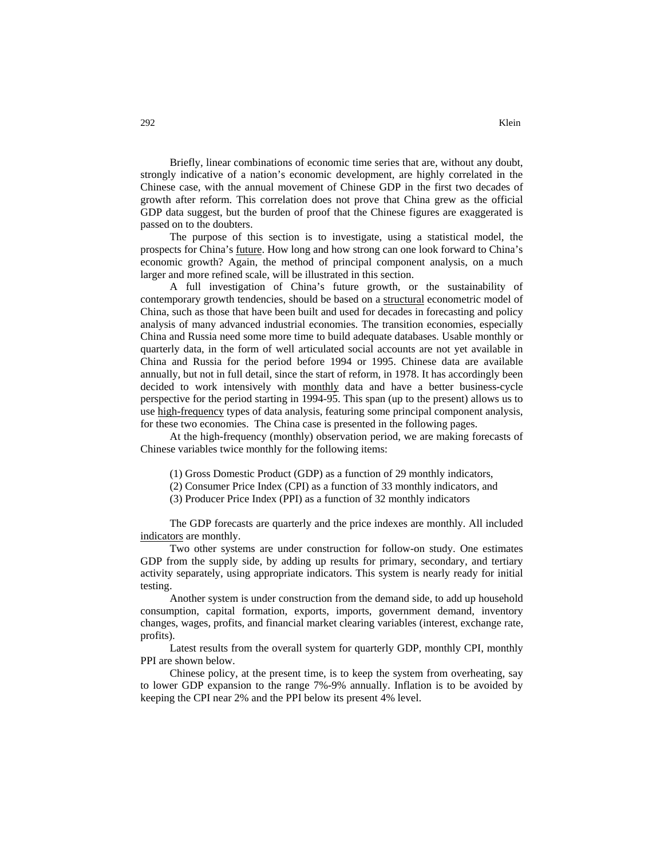Briefly, linear combinations of economic time series that are, without any doubt, strongly indicative of a nation's economic development, are highly correlated in the Chinese case, with the annual movement of Chinese GDP in the first two decades of growth after reform. This correlation does not prove that China grew as the official GDP data suggest, but the burden of proof that the Chinese figures are exaggerated is passed on to the doubters.

The purpose of this section is to investigate, using a statistical model, the prospects for China's future. How long and how strong can one look forward to China's economic growth? Again, the method of principal component analysis, on a much larger and more refined scale, will be illustrated in this section.

A full investigation of China's future growth, or the sustainability of contemporary growth tendencies, should be based on a structural econometric model of China, such as those that have been built and used for decades in forecasting and policy analysis of many advanced industrial economies. The transition economies, especially China and Russia need some more time to build adequate databases. Usable monthly or quarterly data, in the form of well articulated social accounts are not yet available in China and Russia for the period before 1994 or 1995. Chinese data are available annually, but not in full detail, since the start of reform, in 1978. It has accordingly been decided to work intensively with monthly data and have a better business-cycle perspective for the period starting in 1994-95. This span (up to the present) allows us to use high-frequency types of data analysis, featuring some principal component analysis, for these two economies. The China case is presented in the following pages.

At the high-frequency (monthly) observation period, we are making forecasts of Chinese variables twice monthly for the following items:

- (1) Gross Domestic Product (GDP) as a function of 29 monthly indicators,
- (2) Consumer Price Index (CPI) as a function of 33 monthly indicators, and
- (3) Producer Price Index (PPI) as a function of 32 monthly indicators

The GDP forecasts are quarterly and the price indexes are monthly. All included indicators are monthly.

Two other systems are under construction for follow-on study. One estimates GDP from the supply side, by adding up results for primary, secondary, and tertiary activity separately, using appropriate indicators. This system is nearly ready for initial testing.

Another system is under construction from the demand side, to add up household consumption, capital formation, exports, imports, government demand, inventory changes, wages, profits, and financial market clearing variables (interest, exchange rate, profits).

Latest results from the overall system for quarterly GDP, monthly CPI, monthly PPI are shown below.

Chinese policy, at the present time, is to keep the system from overheating, say to lower GDP expansion to the range 7%-9% annually. Inflation is to be avoided by keeping the CPI near 2% and the PPI below its present 4% level.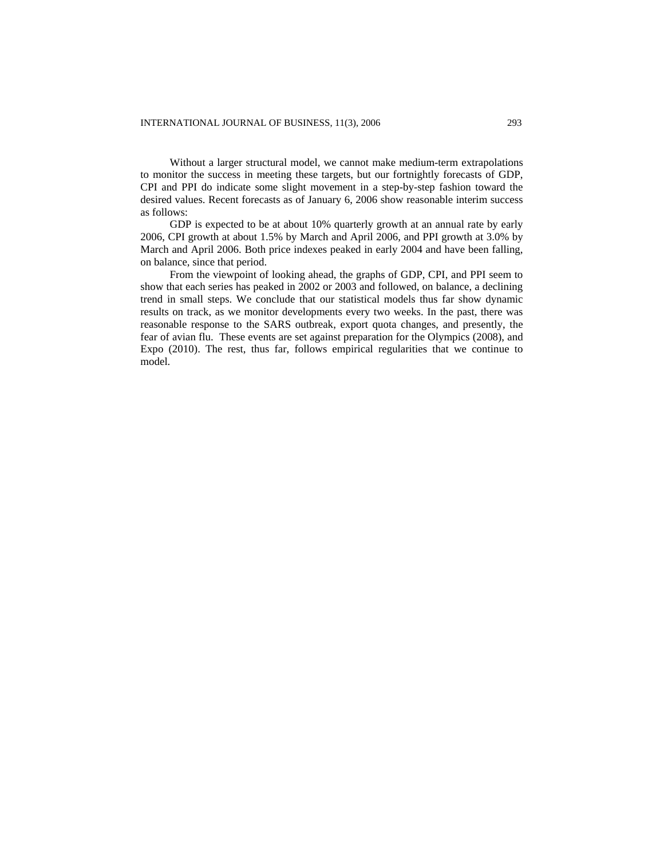Without a larger structural model, we cannot make medium-term extrapolations to monitor the success in meeting these targets, but our fortnightly forecasts of GDP, CPI and PPI do indicate some slight movement in a step-by-step fashion toward the desired values. Recent forecasts as of January 6, 2006 show reasonable interim success as follows:

GDP is expected to be at about 10% quarterly growth at an annual rate by early 2006, CPI growth at about 1.5% by March and April 2006, and PPI growth at 3.0% by March and April 2006. Both price indexes peaked in early 2004 and have been falling, on balance, since that period.

From the viewpoint of looking ahead, the graphs of GDP, CPI, and PPI seem to show that each series has peaked in 2002 or 2003 and followed, on balance, a declining trend in small steps. We conclude that our statistical models thus far show dynamic results on track, as we monitor developments every two weeks. In the past, there was reasonable response to the SARS outbreak, export quota changes, and presently, the fear of avian flu. These events are set against preparation for the Olympics (2008), and Expo (2010). The rest, thus far, follows empirical regularities that we continue to model.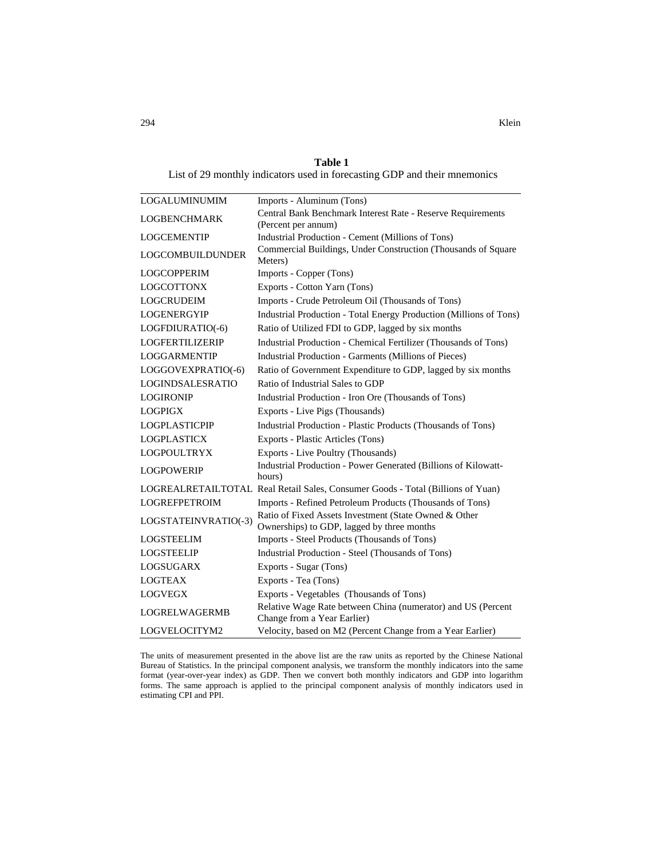**Table 1**  List of 29 monthly indicators used in forecasting GDP and their mnemonics

| LOGALUMINUMIM           | Imports - Aluminum (Tons)                                                                           |  |
|-------------------------|-----------------------------------------------------------------------------------------------------|--|
| <b>LOGBENCHMARK</b>     | Central Bank Benchmark Interest Rate - Reserve Requirements                                         |  |
|                         | (Percent per annum)                                                                                 |  |
| <b>LOGCEMENTIP</b>      | Industrial Production - Cement (Millions of Tons)                                                   |  |
| <b>LOGCOMBUILDUNDER</b> | Commercial Buildings, Under Construction (Thousands of Square<br>Meters)                            |  |
| <b>LOGCOPPERIM</b>      | Imports - Copper (Tons)                                                                             |  |
| <b>LOGCOTTONX</b>       | Exports - Cotton Yarn (Tons)                                                                        |  |
| <b>LOGCRUDEIM</b>       | Imports - Crude Petroleum Oil (Thousands of Tons)                                                   |  |
| <b>LOGENERGYIP</b>      | Industrial Production - Total Energy Production (Millions of Tons)                                  |  |
| LOGFDIURATIO(-6)        | Ratio of Utilized FDI to GDP, lagged by six months                                                  |  |
| <b>LOGFERTILIZERIP</b>  | Industrial Production - Chemical Fertilizer (Thousands of Tons)                                     |  |
| LOGGARMENTIP            | Industrial Production - Garments (Millions of Pieces)                                               |  |
| LOGGOVEXPRATIO(-6)      | Ratio of Government Expenditure to GDP, lagged by six months                                        |  |
| LOGINDSALESRATIO        | Ratio of Industrial Sales to GDP                                                                    |  |
| <b>LOGIRONIP</b>        | Industrial Production - Iron Ore (Thousands of Tons)                                                |  |
| <b>LOGPIGX</b>          | Exports - Live Pigs (Thousands)                                                                     |  |
| <b>LOGPLASTICPIP</b>    | Industrial Production - Plastic Products (Thousands of Tons)                                        |  |
| <b>LOGPLASTICX</b>      | Exports - Plastic Articles (Tons)                                                                   |  |
| <b>LOGPOULTRYX</b>      | Exports - Live Poultry (Thousands)                                                                  |  |
| <b>LOGPOWERIP</b>       | Industrial Production - Power Generated (Billions of Kilowatt-<br>hours)                            |  |
|                         | LOGREALRETAILTOTAL Real Retail Sales, Consumer Goods - Total (Billions of Yuan)                     |  |
| <b>LOGREFPETROIM</b>    | Imports - Refined Petroleum Products (Thousands of Tons)                                            |  |
| LOGSTATEINVRATIO(-3)    | Ratio of Fixed Assets Investment (State Owned & Other<br>Ownerships) to GDP, lagged by three months |  |
| <b>LOGSTEELIM</b>       | Imports - Steel Products (Thousands of Tons)                                                        |  |
| <b>LOGSTEELIP</b>       | Industrial Production - Steel (Thousands of Tons)                                                   |  |
| LOGSUGARX               | Exports - Sugar (Tons)                                                                              |  |
| <b>LOGTEAX</b>          | Exports - Tea (Tons)                                                                                |  |
| <b>LOGVEGX</b>          | Exports - Vegetables (Thousands of Tons)                                                            |  |
| <b>LOGRELWAGERMB</b>    | Relative Wage Rate between China (numerator) and US (Percent<br>Change from a Year Earlier)         |  |
| LOGVELOCITYM2           | Velocity, based on M2 (Percent Change from a Year Earlier)                                          |  |

The units of measurement presented in the above list are the raw units as reported by the Chinese National Bureau of Statistics. In the principal component analysis, we transform the monthly indicators into the same format (year-over-year index) as GDP. Then we convert both monthly indicators and GDP into logarithm forms. The same approach is applied to the principal component analysis of monthly indicators used in estimating CPI and PPI.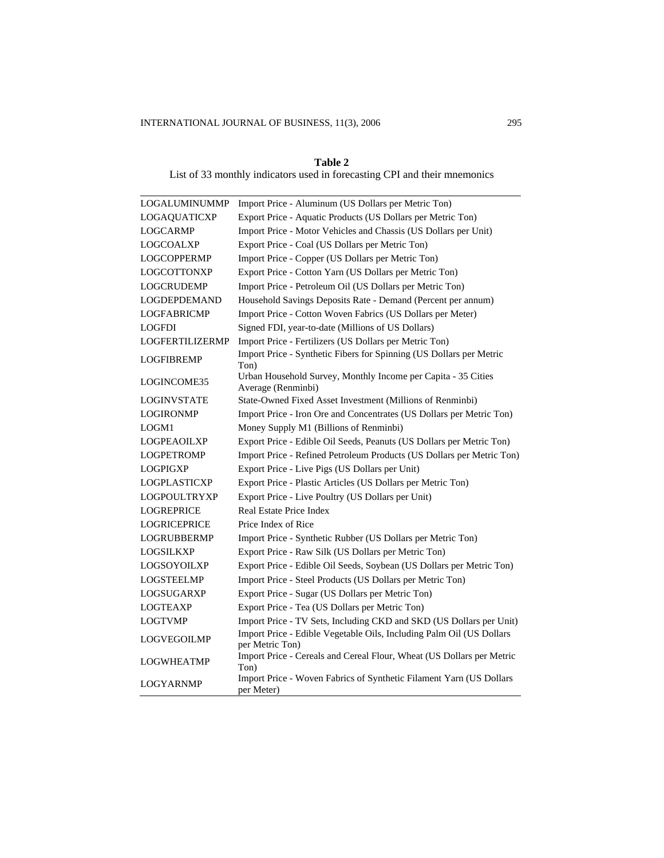### **Table 2**

List of 33 monthly indicators used in forecasting CPI and their mnemonics

| LOGALUMINUMMP       | Import Price - Aluminum (US Dollars per Metric Ton)                                     |
|---------------------|-----------------------------------------------------------------------------------------|
| LOGAQUATICXP        | Export Price - Aquatic Products (US Dollars per Metric Ton)                             |
| <b>LOGCARMP</b>     | Import Price - Motor Vehicles and Chassis (US Dollars per Unit)                         |
| LOGCOALXP           | Export Price - Coal (US Dollars per Metric Ton)                                         |
| LOGCOPPERMP         | Import Price - Copper (US Dollars per Metric Ton)                                       |
| <b>LOGCOTTONXP</b>  | Export Price - Cotton Yarn (US Dollars per Metric Ton)                                  |
| LOGCRUDEMP          | Import Price - Petroleum Oil (US Dollars per Metric Ton)                                |
| <b>LOGDEPDEMAND</b> | Household Savings Deposits Rate - Demand (Percent per annum)                            |
| LOGFABRICMP         | Import Price - Cotton Woven Fabrics (US Dollars per Meter)                              |
| <b>LOGFDI</b>       | Signed FDI, year-to-date (Millions of US Dollars)                                       |
| LOGFERTILIZERMP     | Import Price - Fertilizers (US Dollars per Metric Ton)                                  |
| <b>LOGFIBREMP</b>   | Import Price - Synthetic Fibers for Spinning (US Dollars per Metric<br>Ton)             |
| LOGINCOME35         | Urban Household Survey, Monthly Income per Capita - 35 Cities<br>Average (Renminbi)     |
| <b>LOGINVSTATE</b>  | State-Owned Fixed Asset Investment (Millions of Renminbi)                               |
| LOGIRONMP           | Import Price - Iron Ore and Concentrates (US Dollars per Metric Ton)                    |
| LOGM1               | Money Supply M1 (Billions of Renminbi)                                                  |
| LOGPEAOILXP         | Export Price - Edible Oil Seeds, Peanuts (US Dollars per Metric Ton)                    |
| <b>LOGPETROMP</b>   | Import Price - Refined Petroleum Products (US Dollars per Metric Ton)                   |
| <b>LOGPIGXP</b>     | Export Price - Live Pigs (US Dollars per Unit)                                          |
| <b>LOGPLASTICXP</b> | Export Price - Plastic Articles (US Dollars per Metric Ton)                             |
| LOGPOULTRYXP        | Export Price - Live Poultry (US Dollars per Unit)                                       |
| <b>LOGREPRICE</b>   | Real Estate Price Index                                                                 |
| <b>LOGRICEPRICE</b> | Price Index of Rice                                                                     |
| <b>LOGRUBBERMP</b>  | Import Price - Synthetic Rubber (US Dollars per Metric Ton)                             |
| LOGSILKXP           | Export Price - Raw Silk (US Dollars per Metric Ton)                                     |
| LOGSOYOILXP         | Export Price - Edible Oil Seeds, Soybean (US Dollars per Metric Ton)                    |
| <b>LOGSTEELMP</b>   | Import Price - Steel Products (US Dollars per Metric Ton)                               |
| LOGSUGARXP          | Export Price - Sugar (US Dollars per Metric Ton)                                        |
| LOGTEAXP            | Export Price - Tea (US Dollars per Metric Ton)                                          |
| <b>LOGTVMP</b>      | Import Price - TV Sets, Including CKD and SKD (US Dollars per Unit)                     |
| LOGVEGOILMP         | Import Price - Edible Vegetable Oils, Including Palm Oil (US Dollars<br>per Metric Ton) |
| LOGWHEATMP          | Import Price - Cereals and Cereal Flour, Wheat (US Dollars per Metric<br>Ton)           |
| LOGYARNMP           | Import Price - Woven Fabrics of Synthetic Filament Yarn (US Dollars<br>per Meter)       |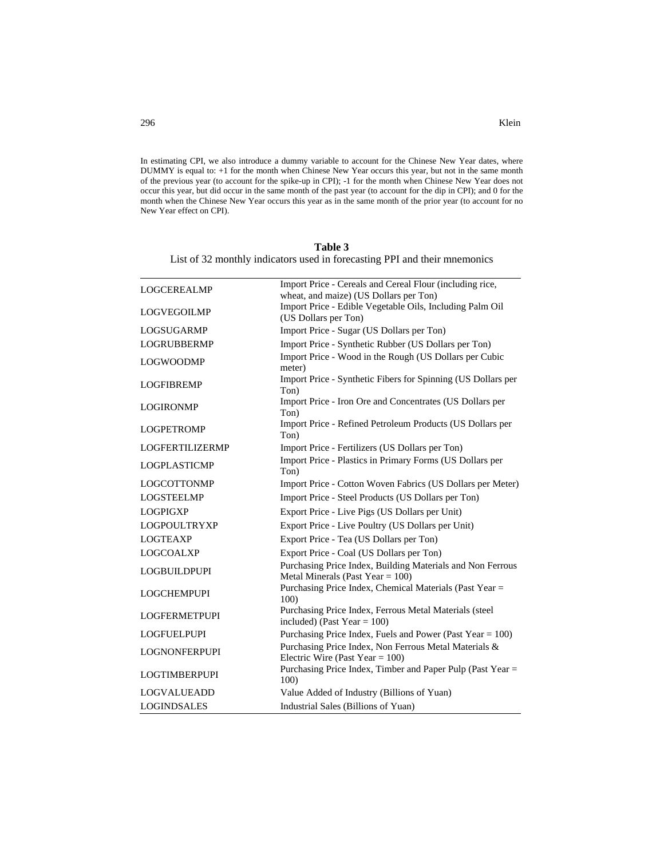In estimating CPI, we also introduce a dummy variable to account for the Chinese New Year dates, where DUMMY is equal to: +1 for the month when Chinese New Year occurs this year, but not in the same month of the previous year (to account for the spike-up in CPI); -1 for the month when Chinese New Year does not occur this year, but did occur in the same month of the past year (to account for the dip in CPI); and 0 for the month when the Chinese New Year occurs this year as in the same month of the prior year (to account for no New Year effect on CPI).

|                                                                           | Table 3 |  |
|---------------------------------------------------------------------------|---------|--|
| List of 32 monthly indicators used in forecasting PPI and their mnemonics |         |  |

| <b>LOGCEREALMP</b>   | Import Price - Cereals and Cereal Flour (including rice,<br>wheat, and maize) (US Dollars per Ton) |
|----------------------|----------------------------------------------------------------------------------------------------|
| <b>LOGVEGOILMP</b>   | Import Price - Edible Vegetable Oils, Including Palm Oil<br>(US Dollars per Ton)                   |
| <b>LOGSUGARMP</b>    | Import Price - Sugar (US Dollars per Ton)                                                          |
| <b>LOGRUBBERMP</b>   | Import Price - Synthetic Rubber (US Dollars per Ton)                                               |
| <b>LOGWOODMP</b>     | Import Price - Wood in the Rough (US Dollars per Cubic<br>meter)                                   |
| <b>LOGFIBREMP</b>    | Import Price - Synthetic Fibers for Spinning (US Dollars per<br>Ton)                               |
| <b>LOGIRONMP</b>     | Import Price - Iron Ore and Concentrates (US Dollars per<br>Ton)                                   |
| <b>LOGPETROMP</b>    | Import Price - Refined Petroleum Products (US Dollars per<br>Ton)                                  |
| LOGFERTILIZERMP      | Import Price - Fertilizers (US Dollars per Ton)                                                    |
| <b>LOGPLASTICMP</b>  | Import Price - Plastics in Primary Forms (US Dollars per<br>Ton)                                   |
| <b>LOGCOTTONMP</b>   | Import Price - Cotton Woven Fabrics (US Dollars per Meter)                                         |
| <b>LOGSTEELMP</b>    | Import Price - Steel Products (US Dollars per Ton)                                                 |
| <b>LOGPIGXP</b>      | Export Price - Live Pigs (US Dollars per Unit)                                                     |
| <b>LOGPOULTRYXP</b>  | Export Price - Live Poultry (US Dollars per Unit)                                                  |
| <b>LOGTEAXP</b>      | Export Price - Tea (US Dollars per Ton)                                                            |
| <b>LOGCOALXP</b>     | Export Price - Coal (US Dollars per Ton)                                                           |
| <b>LOGBUILDPUPI</b>  | Purchasing Price Index, Building Materials and Non Ferrous<br>Metal Minerals (Past Year $= 100$ )  |
| <b>LOGCHEMPUPI</b>   | Purchasing Price Index, Chemical Materials (Past Year =<br>100)                                    |
| <b>LOGFERMETPUPI</b> | Purchasing Price Index, Ferrous Metal Materials (steel<br>included) (Past Year = $100$ )           |
| <b>LOGFUELPUPI</b>   | Purchasing Price Index, Fuels and Power (Past Year = 100)                                          |
| <b>LOGNONFERPUPI</b> | Purchasing Price Index, Non Ferrous Metal Materials &<br>Electric Wire (Past Year = $100$ )        |
| <b>LOGTIMBERPUPI</b> | Purchasing Price Index, Timber and Paper Pulp (Past Year =<br>100)                                 |
| <b>LOGVALUEADD</b>   | Value Added of Industry (Billions of Yuan)                                                         |
| <b>LOGINDSALES</b>   | Industrial Sales (Billions of Yuan)                                                                |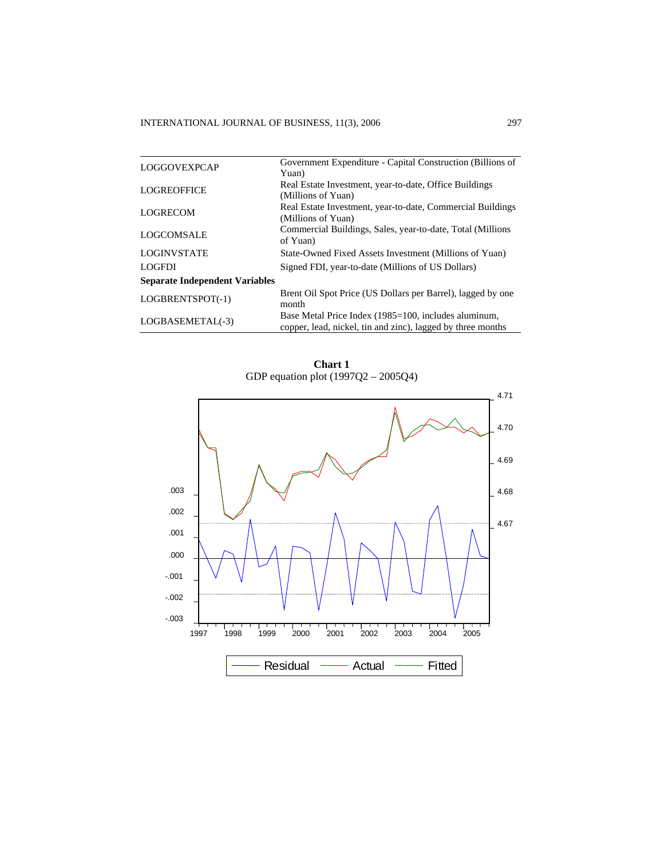|                                       | Government Expenditure - Capital Construction (Billions of                                                          |
|---------------------------------------|---------------------------------------------------------------------------------------------------------------------|
| <b>LOGGOVEXPCAP</b>                   | Yuan)                                                                                                               |
| <b>LOGREOFFICE</b>                    | Real Estate Investment, year-to-date, Office Buildings                                                              |
|                                       | (Millions of Yuan)                                                                                                  |
| <b>LOGRECOM</b>                       | Real Estate Investment, year-to-date, Commercial Buildings                                                          |
|                                       | (Millions of Yuan)                                                                                                  |
| LOGCOMSALE                            | Commercial Buildings, Sales, year-to-date, Total (Millions)<br>of Yuan)                                             |
| <b>LOGINVSTATE</b>                    | State-Owned Fixed Assets Investment (Millions of Yuan)                                                              |
| <b>LOGFDI</b>                         | Signed FDI, year-to-date (Millions of US Dollars)                                                                   |
| <b>Separate Independent Variables</b> |                                                                                                                     |
| LOGBRENTSPOT(-1)                      | Brent Oil Spot Price (US Dollars per Barrel), lagged by one<br>month                                                |
| LOGBASEMETAL(-3)                      | Base Metal Price Index (1985=100, includes aluminum,<br>copper, lead, nickel, tin and zinc), lagged by three months |

**Chart 1**  GDP equation plot (1997Q2 – 2005Q4)

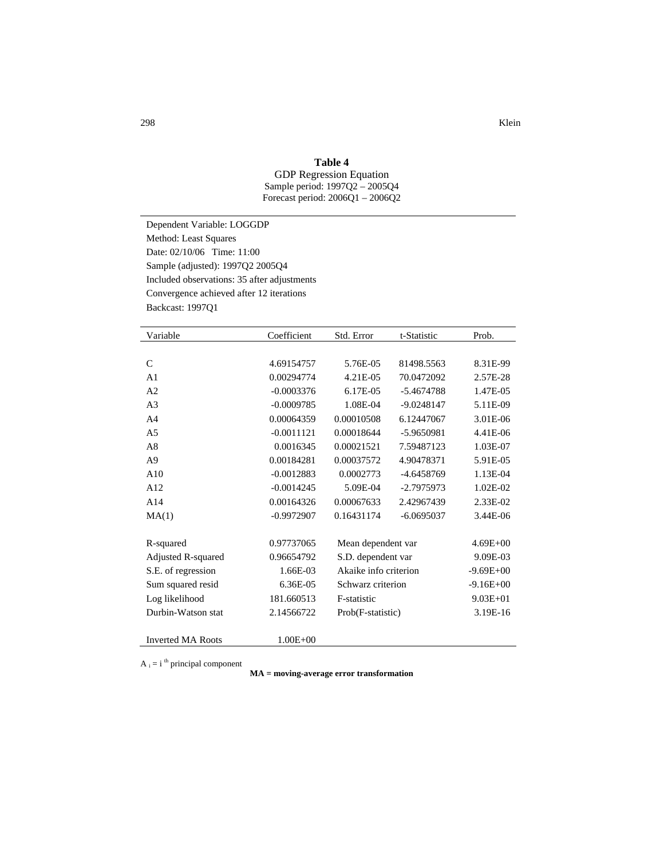### **Table 4**

GDP Regression Equation Sample period: 1997Q2 – 2005Q4 Forecast period: 2006Q1 – 2006Q2

Dependent Variable: LOGGDP Method: Least Squares Date: 02/10/06 Time: 11:00 Sample (adjusted): 1997Q2 2005Q4 Included observations: 35 after adjustments Convergence achieved after 12 iterations Backcast: 1997Q1

| Variable                 | Coefficient  | Std. Error            | t-Statistic  | Prob.         |
|--------------------------|--------------|-----------------------|--------------|---------------|
|                          |              |                       |              |               |
| $\mathcal{C}$            | 4.69154757   | 5.76E-05              | 81498.5563   | 8.31E-99      |
| A <sub>1</sub>           | 0.00294774   | 4.21E-05              | 70.0472092   | 2.57E-28      |
| A2                       | $-0.0003376$ | 6.17E-05              | -5.4674788   | 1.47E-05      |
| A <sub>3</sub>           | $-0.0009785$ | 1.08E-04              | $-9.0248147$ | 5.11E-09      |
| A <sub>4</sub>           | 0.00064359   | 0.00010508            | 6.12447067   | 3.01E-06      |
| A <sub>5</sub>           | $-0.0011121$ | 0.00018644            | -5.9650981   | 4.41E-06      |
| A8                       | 0.0016345    | 0.00021521            | 7.59487123   | 1.03E-07      |
| A <sub>9</sub>           | 0.00184281   | 0.00037572            | 4.90478371   | 5.91E-05      |
| A10                      | $-0.0012883$ | 0.0002773             | -4.6458769   | 1.13E-04      |
| A12                      | $-0.0014245$ | 5.09E-04              | -2.7975973   | 1.02E-02      |
| A14                      | 0.00164326   | 0.00067633            | 2.42967439   | 2.33E-02      |
| MA(1)                    | $-0.9972907$ | 0.16431174            | $-6.0695037$ | 3.44E-06      |
|                          |              |                       |              |               |
| R-squared                | 0.97737065   | Mean dependent var    |              | $4.69E + 00$  |
| Adjusted R-squared       | 0.96654792   | S.D. dependent var    |              | 9.09E-03      |
| S.E. of regression       | 1.66E-03     | Akaike info criterion |              | $-9.69E + 00$ |
| Sum squared resid        | 6.36E-05     | Schwarz criterion     |              | $-9.16E + 00$ |
| Log likelihood           | 181.660513   | F-statistic           |              | $9.03E + 01$  |
| Durbin-Watson stat       | 2.14566722   | Prob(F-statistic)     |              | 3.19E-16      |
|                          |              |                       |              |               |
| <b>Inverted MA Roots</b> | $1.00E + 00$ |                       |              |               |

 $A_i = i$ <sup>th</sup> principal component

**MA = moving-average error transformation**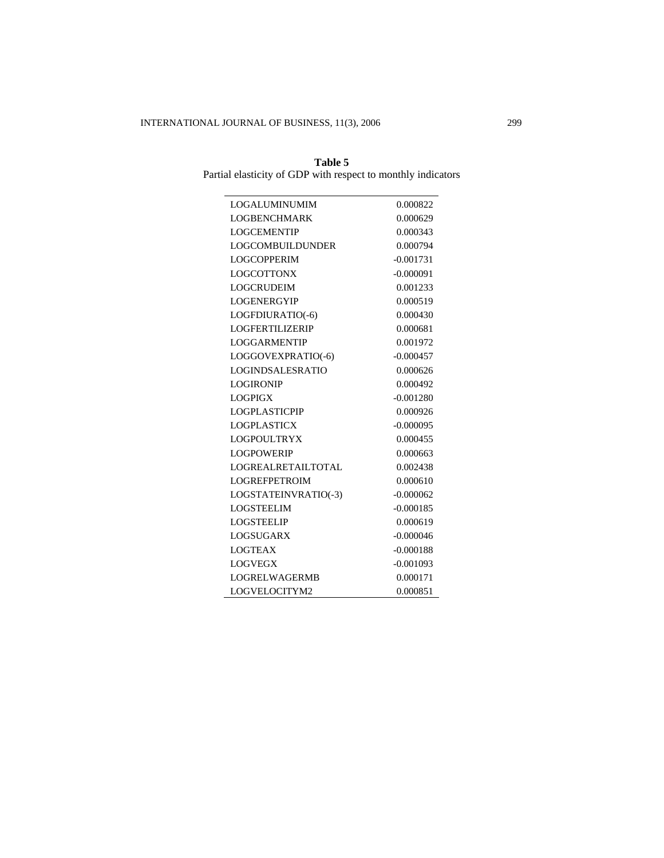| Table 5                                                      |  |  |  |  |  |
|--------------------------------------------------------------|--|--|--|--|--|
| Partial elasticity of GDP with respect to monthly indicators |  |  |  |  |  |

| <b>LOGALUMINUMIM</b>      | 0.000822    |
|---------------------------|-------------|
| <b>LOGBENCHMARK</b>       | 0.000629    |
| <b>LOGCEMENTIP</b>        | 0.000343    |
| LOGCOMBUILDUNDER          | 0.000794    |
| <b>LOGCOPPERIM</b>        | $-0.001731$ |
| <b>LOGCOTTONX</b>         | $-0.000091$ |
| <b>LOGCRUDEIM</b>         | 0.001233    |
| <b>LOGENERGYIP</b>        | 0.000519    |
| LOGFDIURATIO(-6)          | 0.000430    |
| <b>LOGFERTILIZERIP</b>    | 0.000681    |
| <b>LOGGARMENTIP</b>       | 0.001972    |
| LOGGOVEXPRATIO(-6)        | $-0.000457$ |
| <b>LOGINDSALESRATIO</b>   | 0.000626    |
| <b>LOGIRONIP</b>          | 0.000492    |
| <b>LOGPIGX</b>            | $-0.001280$ |
| <b>LOGPLASTICPIP</b>      | 0.000926    |
| <b>LOGPLASTICX</b>        | $-0.000095$ |
| LOGPOUL TRYX              | 0.000455    |
| <b>LOGPOWERIP</b>         | 0.000663    |
| <b>LOGREALRETAILTOTAL</b> | 0.002438    |
| <b>LOGREFPETROIM</b>      | 0.000610    |
| LOGSTATEINVRATIO(-3)      | $-0.000062$ |
| <b>LOGSTEELIM</b>         | $-0.000185$ |
| <b>LOGSTEELIP</b>         | 0.000619    |
| <b>LOGSUGARX</b>          | $-0.000046$ |
| <b>LOGTEAX</b>            | $-0.000188$ |
| <b>LOGVEGX</b>            | $-0.001093$ |
| <b>LOGRELWAGERMB</b>      | 0.000171    |
| LOGVELOCITYM2             | 0.000851    |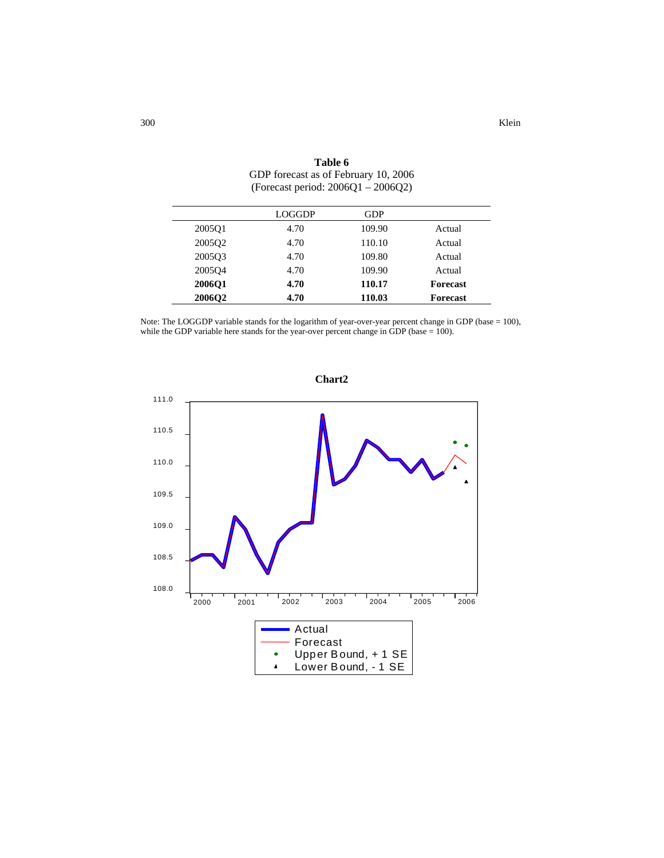|                    | LOGGDP | <b>GDP</b> |                 |
|--------------------|--------|------------|-----------------|
| 2005 <sub>O1</sub> | 4.70   | 109.90     | Actual          |
| 2005Q2             | 4.70   | 110.10     | Actual          |
| 2005Q3             | 4.70   | 109.80     | Actual          |
| 200504             | 4.70   | 109.90     | Actual          |
| <b>2006O1</b>      | 4.70   | 110.17     | <b>Forecast</b> |
| <b>2006O2</b>      | 4.70   | 110.03     | <b>Forecast</b> |

**Table 6** GDP forecast as of February 10, 2006 (Forecast period: 2006Q1 – 2006Q2)

Note: The LOGGDP variable stands for the logarithm of year-over-year percent change in GDP (base = 100), while the GDP variable here stands for the year-over percent change in  $GDP$  (base = 100).

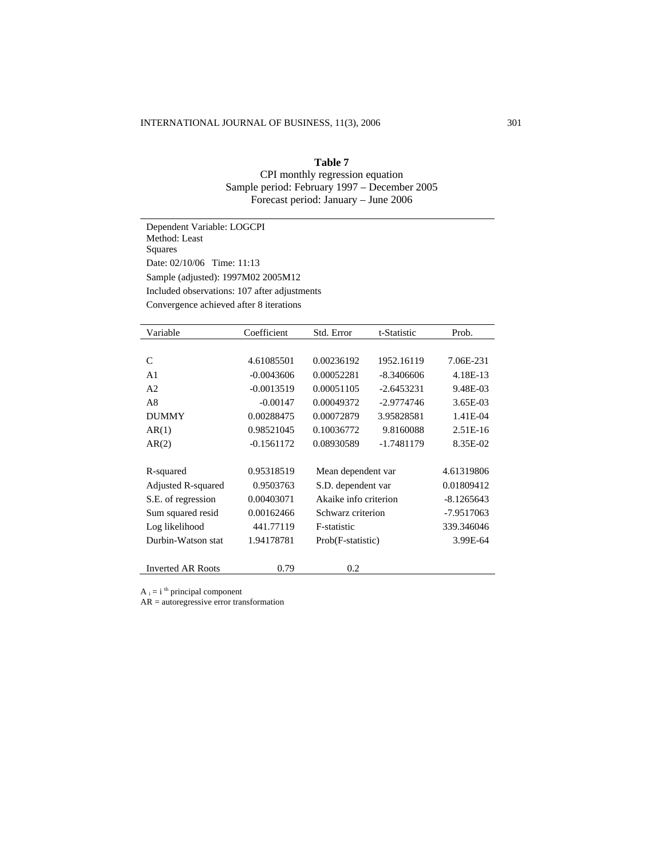### **Table 7**

CPI monthly regression equation Sample period: February 1997 – December 2005 Forecast period: January – June 2006

Dependent Variable: LOGCPI Method: Least Squares Date: 02/10/06 Time: 11:13 Sample (adjusted): 1997M02 2005M12 Included observations: 107 after adjustments Convergence achieved after 8 iterations

| Variable                 | Coefficient  | Std. Error            | t-Statistic  | Prob.        |
|--------------------------|--------------|-----------------------|--------------|--------------|
|                          |              |                       |              |              |
| C                        | 4.61085501   | 0.00236192            | 1952.16119   | 7.06E-231    |
| A <sub>1</sub>           | $-0.0043606$ | 0.00052281            | $-8.3406606$ | 4.18E-13     |
| A <sub>2</sub>           | $-0.0013519$ | 0.00051105            | $-2.6453231$ | 9.48E-03     |
| A8                       | $-0.00147$   | 0.00049372            | $-2.9774746$ | 3.65E-03     |
| <b>DUMMY</b>             | 0.00288475   | 0.00072879            | 3.95828581   | 1.41E-04     |
| AR(1)                    | 0.98521045   | 0.10036772            | 9.8160088    | 2.51E-16     |
| AR(2)                    | $-0.1561172$ | 0.08930589            | -1.7481179   | 8.35E-02     |
|                          |              |                       |              |              |
| R-squared                | 0.95318519   | Mean dependent var    |              | 4.61319806   |
| Adjusted R-squared       | 0.9503763    | S.D. dependent var    |              | 0.01809412   |
| S.E. of regression       | 0.00403071   | Akaike info criterion |              | $-8.1265643$ |
| Sum squared resid        | 0.00162466   | Schwarz criterion     |              | -7.9517063   |
| Log likelihood           | 441.77119    | F-statistic           |              | 339.346046   |
| Durbin-Watson stat       | 1.94178781   | Prob(F-statistic)     |              | 3.99E-64     |
|                          |              |                       |              |              |
| <b>Inverted AR Roots</b> | 0.79         | 0.2                   |              |              |

 $A_i = i$ <sup>th</sup> principal component

AR = autoregressive error transformation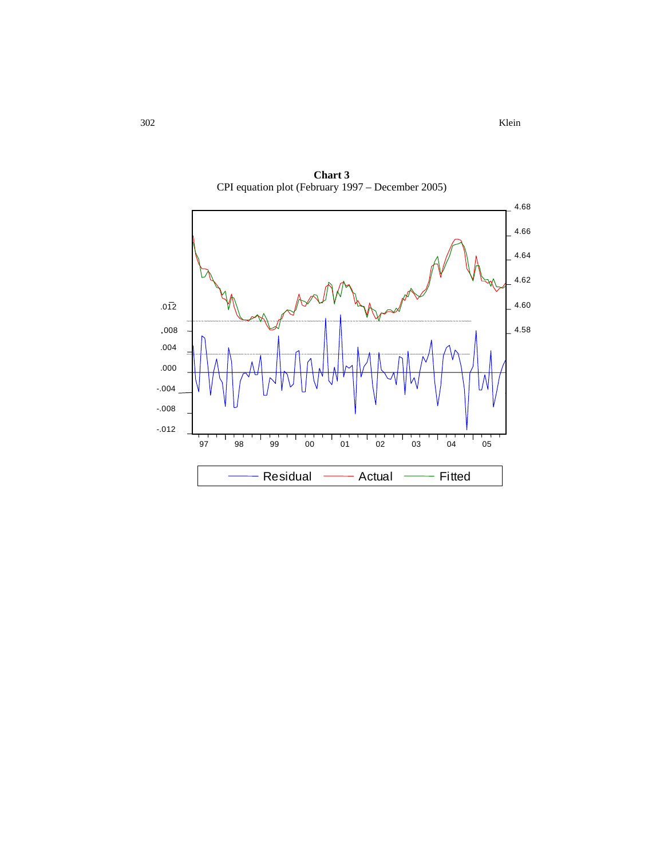302 Klein



**Chart 3**  CPI equation plot (February 1997 – December 2005)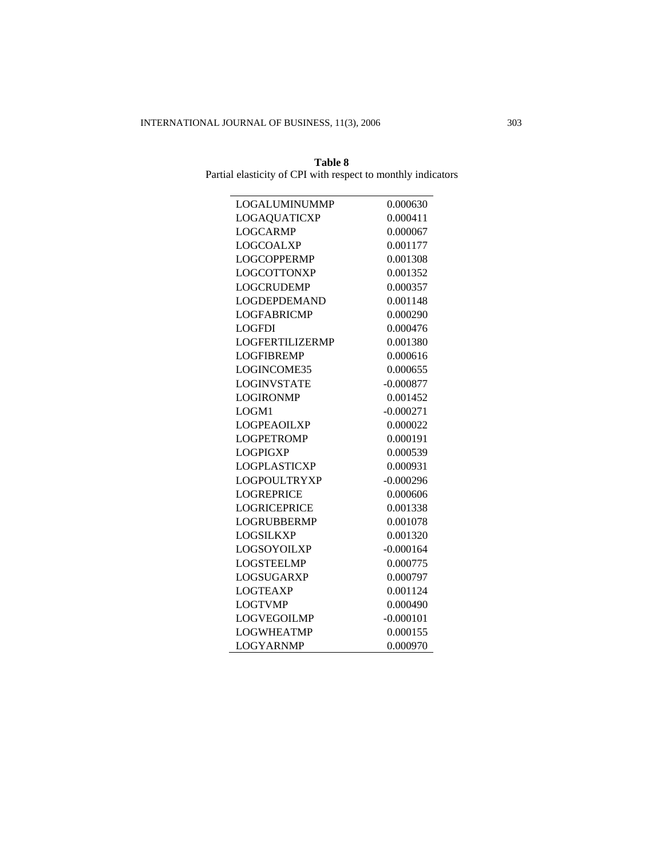| Table 8                                                      |  |
|--------------------------------------------------------------|--|
| Partial elasticity of CPI with respect to monthly indicators |  |

| LOGALUMINUMMP          | 0.000630    |
|------------------------|-------------|
| <b>LOGAQUATICXP</b>    | 0.000411    |
| <b>LOGCARMP</b>        | 0.000067    |
| <b>LOGCOALXP</b>       | 0.001177    |
| <b>LOGCOPPERMP</b>     | 0.001308    |
| <b>LOGCOTTONXP</b>     | 0.001352    |
| <b>LOGCRUDEMP</b>      | 0.000357    |
| <b>LOGDEPDEMAND</b>    | 0.001148    |
| <b>LOGFABRICMP</b>     | 0.000290    |
| <b>LOGFDI</b>          | 0.000476    |
| <b>LOGFERTILIZERMP</b> | 0.001380    |
| <b>LOGFIBREMP</b>      | 0.000616    |
| LOGINCOME35            | 0.000655    |
| <b>LOGINVSTATE</b>     | $-0.000877$ |
| <b>LOGIRONMP</b>       | 0.001452    |
| LOGM1                  | $-0.000271$ |
| <b>LOGPEAOILXP</b>     | 0.000022    |
| <b>LOGPETROMP</b>      | 0.000191    |
| <b>LOGPIGXP</b>        | 0.000539    |
| <b>LOGPLASTICXP</b>    | 0.000931    |
| <b>LOGPOULTRYXP</b>    | $-0.000296$ |
| <b>LOGREPRICE</b>      | 0.000606    |
| <b>LOGRICEPRICE</b>    | 0.001338    |
| <b>LOGRUBBERMP</b>     | 0.001078    |
| <b>LOGSILKXP</b>       | 0.001320    |
| <b>LOGSOYOILXP</b>     | $-0.000164$ |
| <b>LOGSTEELMP</b>      | 0.000775    |
| LOGSUGARXP             | 0.000797    |
| <b>LOGTEAXP</b>        | 0.001124    |
| <b>LOGTVMP</b>         | 0.000490    |
| <b>LOGVEGOILMP</b>     | $-0.000101$ |
| <b>LOGWHEATMP</b>      | 0.000155    |
| <b>LOGYARNMP</b>       | 0.000970    |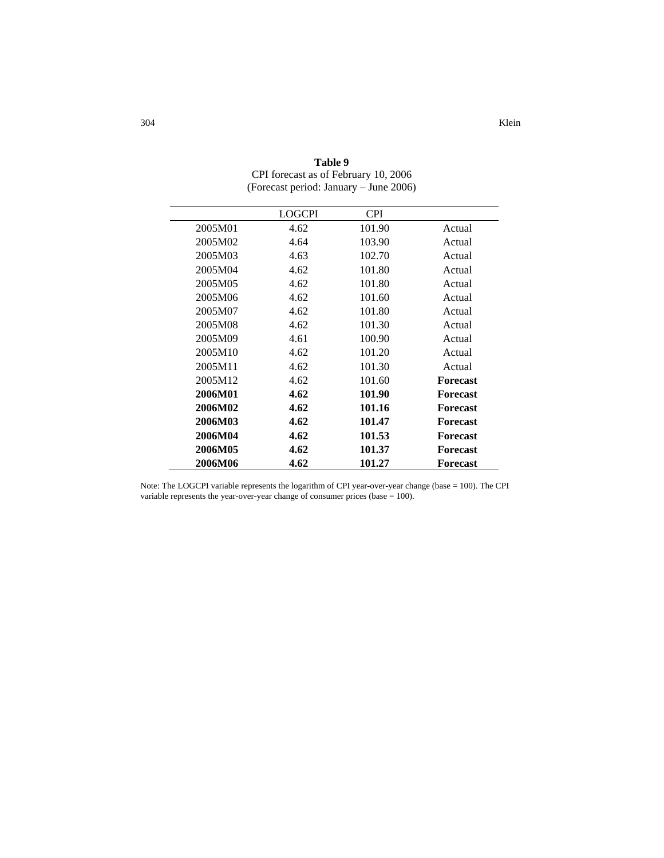|         | <b>LOGCPI</b> | <b>CPI</b> |                 |
|---------|---------------|------------|-----------------|
| 2005M01 | 4.62          | 101.90     | Actual          |
| 2005M02 | 4.64          | 103.90     | Actual          |
| 2005M03 | 4.63          | 102.70     | Actual          |
| 2005M04 | 4.62          | 101.80     | Actual          |
| 2005M05 | 4.62          | 101.80     | Actual          |
| 2005M06 | 4.62          | 101.60     | Actual          |
| 2005M07 | 4.62          | 101.80     | Actual          |
| 2005M08 | 4.62          | 101.30     | Actual          |
| 2005M09 | 4.61          | 100.90     | Actual          |
| 2005M10 | 4.62          | 101.20     | Actual          |
| 2005M11 | 4.62          | 101.30     | Actual          |
| 2005M12 | 4.62          | 101.60     | <b>Forecast</b> |
| 2006M01 | 4.62          | 101.90     | <b>Forecast</b> |
| 2006M02 | 4.62          | 101.16     | <b>Forecast</b> |
| 2006M03 | 4.62          | 101.47     | <b>Forecast</b> |
| 2006M04 | 4.62          | 101.53     | <b>Forecast</b> |
| 2006M05 | 4.62          | 101.37     | <b>Forecast</b> |
| 2006M06 | 4.62          | 101.27     | <b>Forecast</b> |

**Table 9**  CPI forecast as of February 10, 2006 (Forecast period: January – June 2006)

Note: The LOGCPI variable represents the logarithm of CPI year-over-year change (base = 100). The CPI variable represents the year-over-year change of consumer prices (base = 100).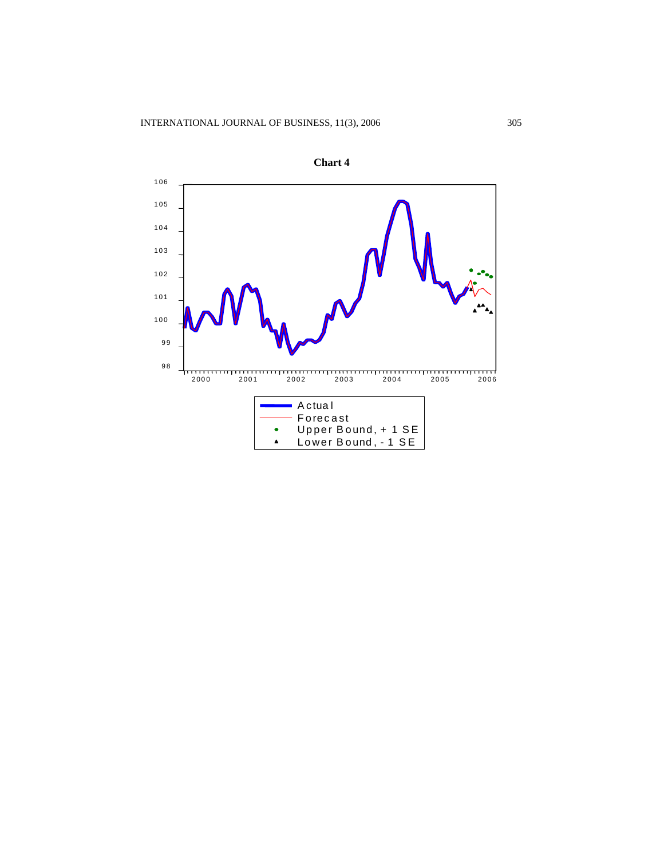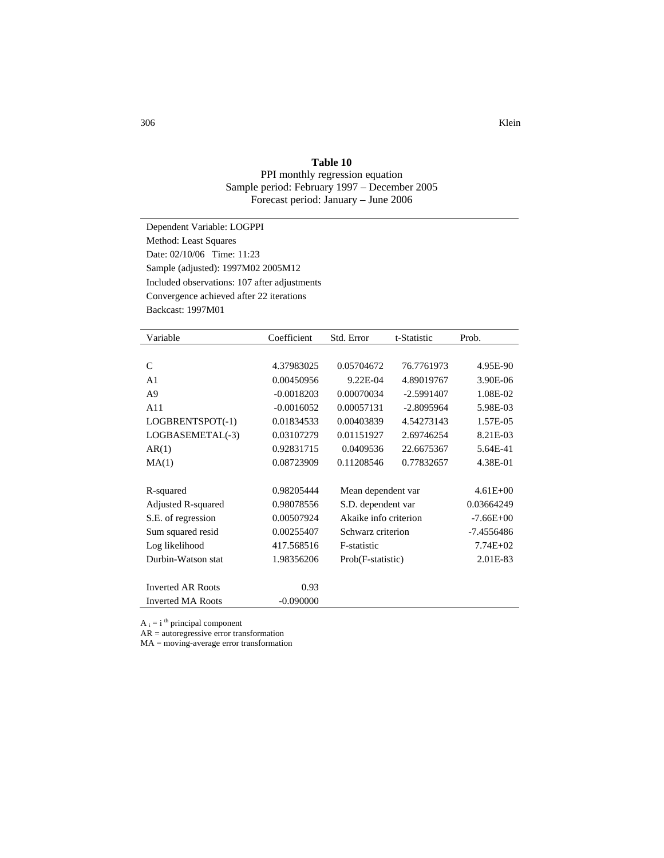### **Table 10**

PPI monthly regression equation Sample period: February 1997 – December 2005 Forecast period: January – June 2006

Dependent Variable: LOGPPI Method: Least Squares Date: 02/10/06 Time: 11:23 Sample (adjusted): 1997M02 2005M12 Included observations: 107 after adjustments Convergence achieved after 22 iterations Backcast: 1997M01

| Variable                 | Coefficient  | Std. Error            | t-Statistic  | Prob.         |
|--------------------------|--------------|-----------------------|--------------|---------------|
|                          |              |                       |              |               |
| $\mathcal{C}$            | 4.37983025   | 0.05704672            | 76.7761973   | 4.95E-90      |
| A <sub>1</sub>           | 0.00450956   | 9.22E-04              | 4.89019767   | 3.90E-06      |
| A9                       | $-0.0018203$ | 0.00070034            | $-2.5991407$ | 1.08E-02      |
| A11                      | $-0.0016052$ | 0.00057131            | $-2.8095964$ | 5.98E-03      |
| LOGBRENTSPOT(-1)         | 0.01834533   | 0.00403839            | 4.54273143   | 1.57E-05      |
| LOGBASEMETAL(-3)         | 0.03107279   | 0.01151927            | 2.69746254   | 8.21E-03      |
| AR(1)                    | 0.92831715   | 0.0409536             | 22.6675367   | 5.64E-41      |
| MA(1)                    | 0.08723909   | 0.11208546            | 0.77832657   | 4.38E-01      |
|                          |              |                       |              |               |
| R-squared                | 0.98205444   | Mean dependent var    |              | $4.61E + 00$  |
| Adjusted R-squared       | 0.98078556   | S.D. dependent var    |              | 0.03664249    |
| S.E. of regression       | 0.00507924   | Akaike info criterion |              | $-7.66E + 00$ |
| Sum squared resid        | 0.00255407   | Schwarz criterion     |              | -7.4556486    |
| Log likelihood           | 417.568516   | F-statistic           |              | $7.74E + 02$  |
| Durbin-Watson stat       | 1.98356206   | Prob(F-statistic)     |              | 2.01E-83      |
|                          |              |                       |              |               |
| <b>Inverted AR Roots</b> | 0.93         |                       |              |               |
| <b>Inverted MA Roots</b> | $-0.090000$  |                       |              |               |

 $A_i = i$ <sup>th</sup> principal component

AR = autoregressive error transformation

MA = moving-average error transformation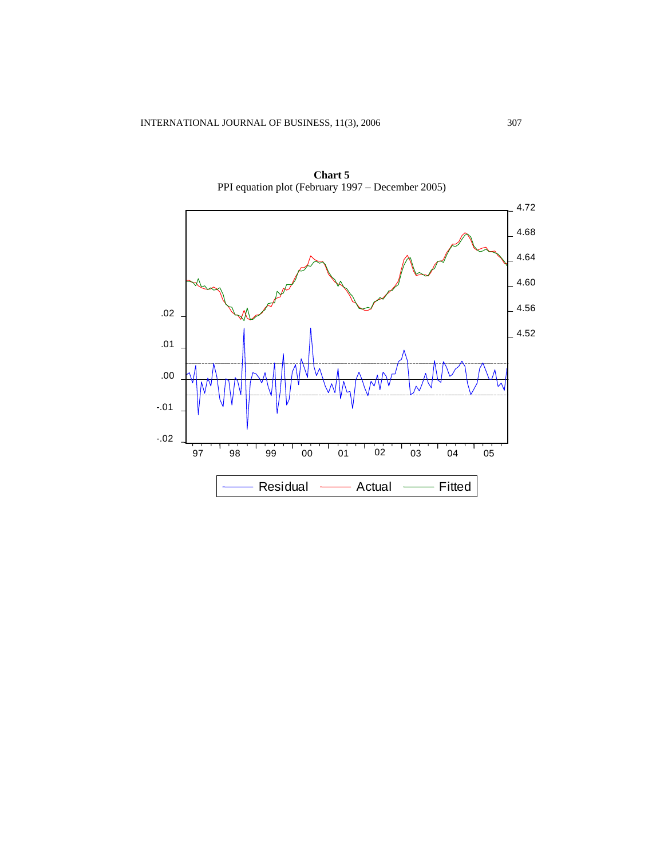

**Chart 5**  PPI equation plot (February 1997 – December 2005)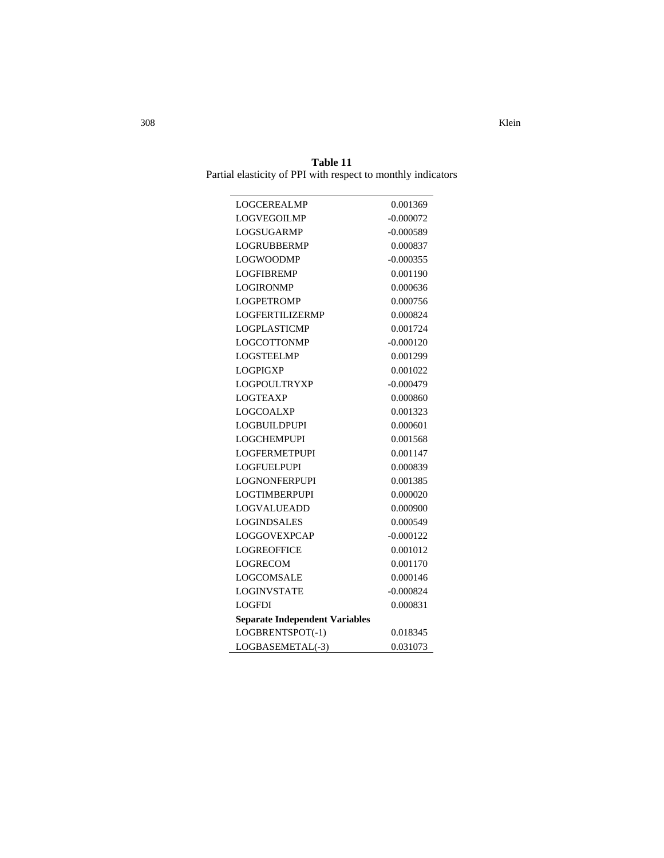**Table 11**  Partial elasticity of PPI with respect to monthly indicators

| <b>LOGCEREALMP</b>                    | 0.001369    |
|---------------------------------------|-------------|
| <b>LOGVEGOILMP</b>                    | $-0.000072$ |
| <b>LOGSUGARMP</b>                     | $-0.000589$ |
| LOGRUBBERMP                           | 0.000837    |
| <b>LOGWOODMP</b>                      | $-0.000355$ |
| <b>LOGFIBREMP</b>                     | 0.001190    |
| <b>LOGIRONMP</b>                      | 0.000636    |
| <b>LOGPETROMP</b>                     | 0.000756    |
| <b>LOGFERTILIZERMP</b>                | 0.000824    |
| <b>LOGPLASTICMP</b>                   | 0.001724    |
| LOGCOTTONMP                           | $-0.000120$ |
| <b>LOGSTEELMP</b>                     | 0.001299    |
| LOGPIGXP                              | 0.001022    |
| <b>LOGPOULTRYXP</b>                   | $-0.000479$ |
| <b>LOGTEAXP</b>                       | 0.000860    |
| <b>LOGCOALXP</b>                      | 0.001323    |
| LOGBUILDPUPI                          | 0.000601    |
| <b>LOGCHEMPUPI</b>                    | 0.001568    |
| <b>LOGFERMETPUPI</b>                  | 0.001147    |
| LOGFUELPUPI                           | 0.000839    |
| <b>LOGNONFERPUPI</b>                  | 0.001385    |
| <b>LOGTIMBERPUPI</b>                  | 0.000020    |
| <b>LOGVALUEADD</b>                    | 0.000900    |
| <b>LOGINDSALES</b>                    | 0.000549    |
| <b>LOGGOVEXPCAP</b>                   | $-0.000122$ |
| <b>LOGREOFFICE</b>                    | 0.001012    |
| <b>LOGRECOM</b>                       | 0.001170    |
| <b>LOGCOMSALE</b>                     | 0.000146    |
| <b>LOGINVSTATE</b>                    | $-0.000824$ |
| <b>LOGFDI</b>                         | 0.000831    |
| <b>Separate Independent Variables</b> |             |
| LOGBRENTSPOT(-1)                      | 0.018345    |
| LOGBASEMETAL(-3)                      | 0.031073    |

308 Klein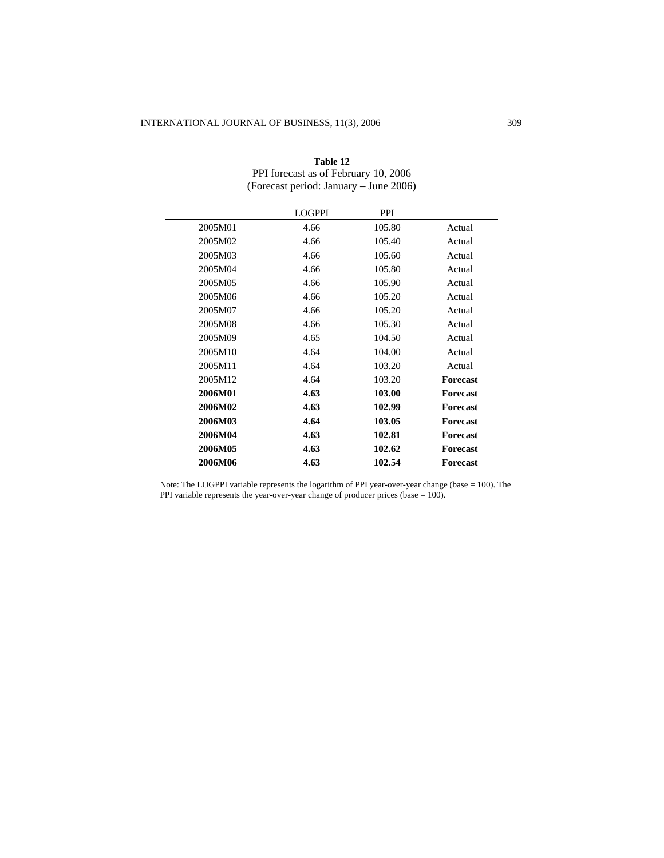|         | <b>LOGPPI</b> | <b>PPI</b> |                 |
|---------|---------------|------------|-----------------|
| 2005M01 | 4.66          | 105.80     | Actual          |
| 2005M02 | 4.66          | 105.40     | Actual          |
| 2005M03 | 4.66          | 105.60     | Actual          |
| 2005M04 | 4.66          | 105.80     | Actual          |
| 2005M05 | 4.66          | 105.90     | Actual          |
| 2005M06 | 4.66          | 105.20     | Actual          |
| 2005M07 | 4.66          | 105.20     | Actual          |
| 2005M08 | 4.66          | 105.30     | Actual          |
| 2005M09 | 4.65          | 104.50     | Actual          |
| 2005M10 | 4.64          | 104.00     | Actual          |
| 2005M11 | 4.64          | 103.20     | Actual          |
| 2005M12 | 4.64          | 103.20     | <b>Forecast</b> |
| 2006M01 | 4.63          | 103.00     | <b>Forecast</b> |
| 2006M02 | 4.63          | 102.99     | <b>Forecast</b> |
| 2006M03 | 4.64          | 103.05     | <b>Forecast</b> |
| 2006M04 | 4.63          | 102.81     | <b>Forecast</b> |
| 2006M05 | 4.63          | 102.62     | <b>Forecast</b> |
| 2006M06 | 4.63          | 102.54     | <b>Forecast</b> |

| Table 12                               |
|----------------------------------------|
| PPI forecast as of February 10, 2006   |
| (Forecast period: January – June 2006) |

Note: The LOGPPI variable represents the logarithm of PPI year-over-year change (base = 100). The PPI variable represents the year-over-year change of producer prices (base = 100).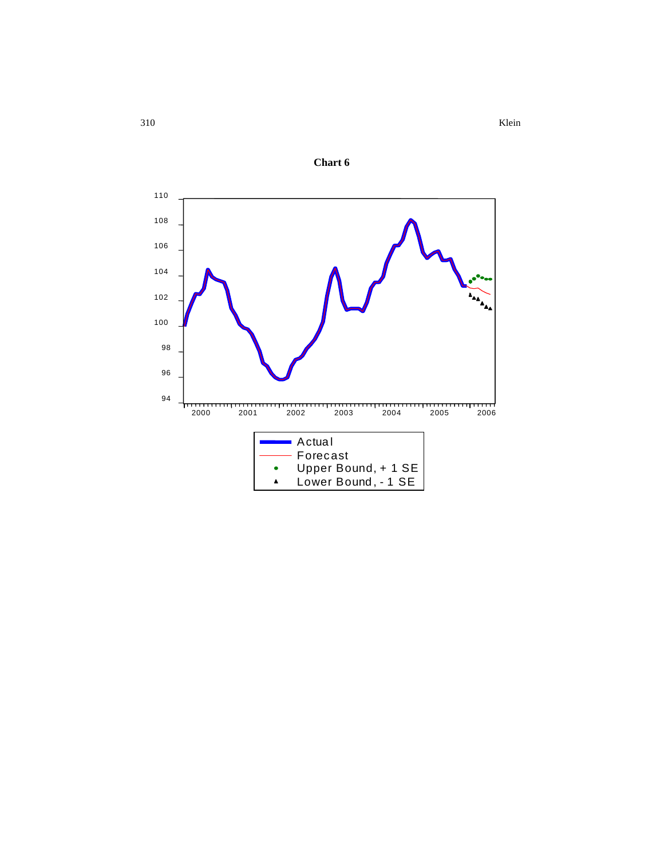310 Klein



**Chart 6**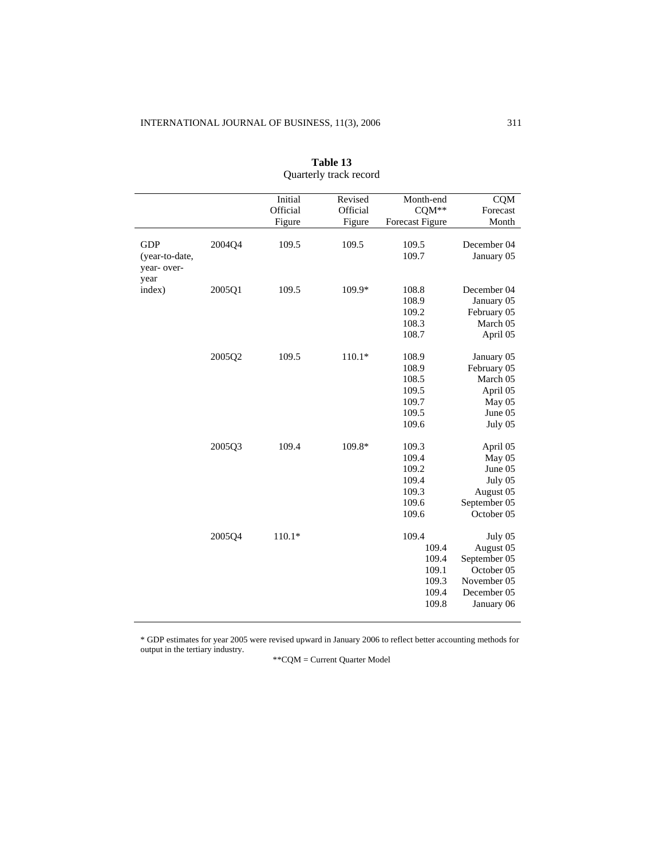|                |        | Initial  | Revised  | Month-end              | <b>CQM</b>   |
|----------------|--------|----------|----------|------------------------|--------------|
|                |        | Official | Official | CQM**                  | Forecast     |
|                |        | Figure   | Figure   | <b>Forecast Figure</b> | Month        |
|                |        |          |          |                        |              |
| <b>GDP</b>     | 2004Q4 | 109.5    | 109.5    | 109.5                  | December 04  |
| (year-to-date, |        |          |          | 109.7                  | January 05   |
| year- over-    |        |          |          |                        |              |
| year<br>index) | 2005Q1 | 109.5    | 109.9*   | 108.8                  | December 04  |
|                |        |          |          | 108.9                  | January 05   |
|                |        |          |          | 109.2                  | February 05  |
|                |        |          |          | 108.3                  | March 05     |
|                |        |          |          | 108.7                  |              |
|                |        |          |          |                        | April 05     |
|                | 2005Q2 | 109.5    | $110.1*$ | 108.9                  | January 05   |
|                |        |          |          | 108.9                  | February 05  |
|                |        |          |          | 108.5                  | March 05     |
|                |        |          |          | 109.5                  | April 05     |
|                |        |          |          | 109.7                  | May 05       |
|                |        |          |          | 109.5                  | June 05      |
|                |        |          |          | 109.6                  | July 05      |
|                |        |          |          |                        |              |
|                | 2005Q3 | 109.4    | 109.8*   | 109.3                  | April 05     |
|                |        |          |          | 109.4                  | May 05       |
|                |        |          |          | 109.2                  | June 05      |
|                |        |          |          | 109.4                  | July 05      |
|                |        |          |          | 109.3                  | August 05    |
|                |        |          |          | 109.6                  | September 05 |
|                |        |          |          | 109.6                  | October 05   |
|                |        |          |          |                        |              |
|                | 2005Q4 | $110.1*$ |          | 109.4                  | July 05      |
|                |        |          |          | 109.4                  | August 05    |
|                |        |          |          | 109.4                  | September 05 |
|                |        |          |          | 109.1                  | October 05   |
|                |        |          |          | 109.3                  | November 05  |
|                |        |          |          | 109.4                  | December 05  |
|                |        |          |          | 109.8                  | January 06   |
|                |        |          |          |                        |              |

**Table 13**  Quarterly track record

\* GDP estimates for year 2005 were revised upward in January 2006 to reflect better accounting methods for output in the tertiary industry.

\*\*CQM = Current Quarter Model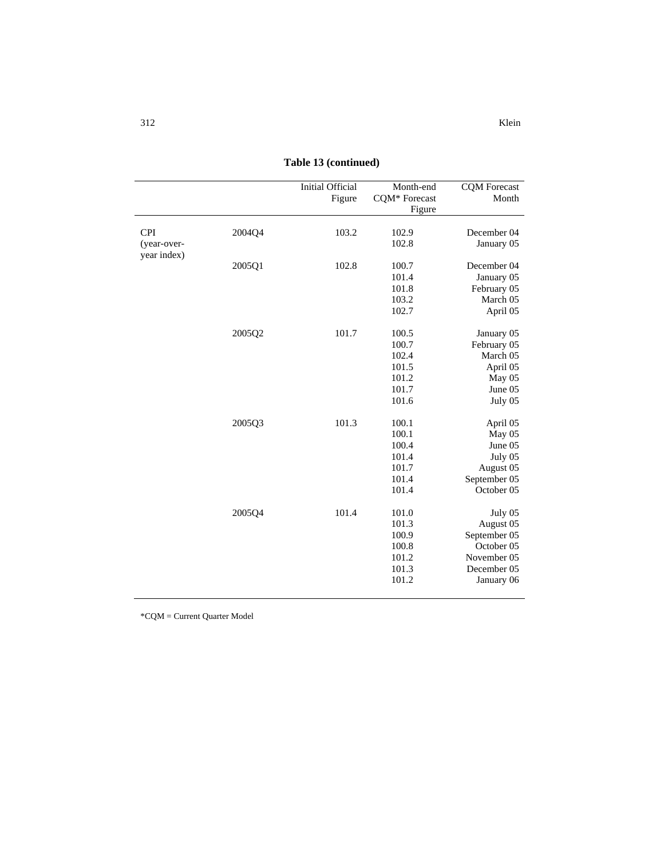312 Klein

|                           |        | <b>Initial Official</b><br>Figure | Month-end<br>CQM* Forecast<br>Figure                        | <b>CQM</b> Forecast<br>Month                                                                   |
|---------------------------|--------|-----------------------------------|-------------------------------------------------------------|------------------------------------------------------------------------------------------------|
| <b>CPI</b><br>(year-over- | 2004Q4 | 103.2                             | 102.9<br>102.8                                              | December 04<br>January 05                                                                      |
| year index)               | 2005Q1 | 102.8                             | 100.7<br>101.4<br>101.8<br>103.2<br>102.7                   | December 04<br>January 05<br>February 05<br>March 05<br>April 05                               |
|                           | 2005Q2 | 101.7                             | 100.5<br>100.7<br>102.4<br>101.5<br>101.2<br>101.7<br>101.6 | January 05<br>February 05<br>March 05<br>April 05<br>May 05<br>June 05<br>July 05              |
|                           | 2005Q3 | 101.3                             | 100.1<br>100.1<br>100.4<br>101.4<br>101.7<br>101.4<br>101.4 | April 05<br>May 05<br>June 05<br>July 05<br>August 05<br>September 05<br>October 05            |
|                           | 2005Q4 | 101.4                             | 101.0<br>101.3<br>100.9<br>100.8<br>101.2<br>101.3<br>101.2 | July 05<br>August 05<br>September 05<br>October 05<br>November 05<br>December 05<br>January 06 |

**Table 13 (continued)** 

\*CQM = Current Quarter Model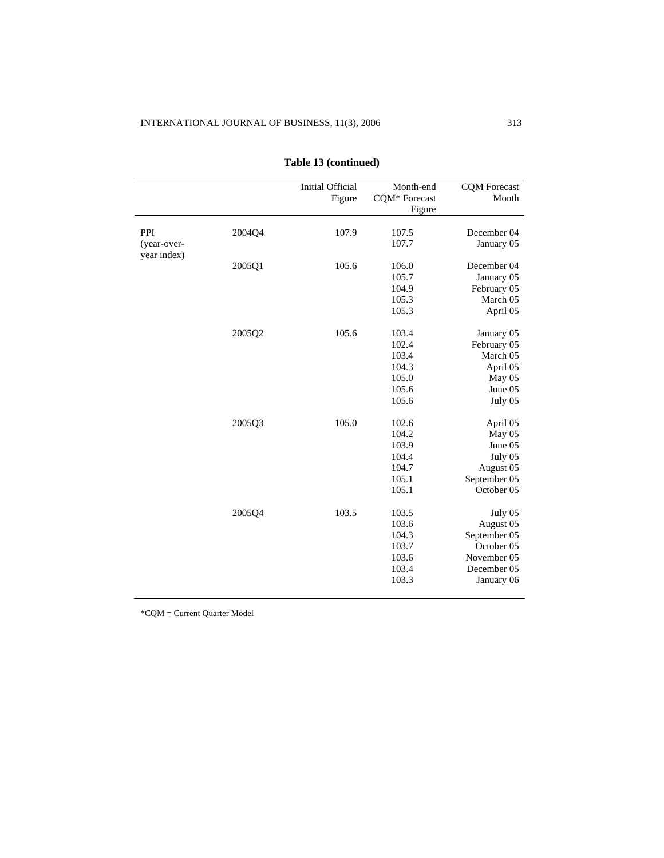|                    |        | <b>Initial Official</b><br>Figure | Month-end<br>CQM* Forecast<br>Figure                        | <b>CQM</b> Forecast<br>Month                                                                   |
|--------------------|--------|-----------------------------------|-------------------------------------------------------------|------------------------------------------------------------------------------------------------|
| PPI<br>(year-over- | 2004Q4 | 107.9                             | 107.5<br>107.7                                              | December 04<br>January 05                                                                      |
| year index)        | 2005Q1 | 105.6                             | 106.0<br>105.7<br>104.9<br>105.3<br>105.3                   | December 04<br>January 05<br>February 05<br>March 05<br>April 05                               |
|                    | 2005Q2 | 105.6                             | 103.4<br>102.4<br>103.4<br>104.3<br>105.0<br>105.6<br>105.6 | January 05<br>February 05<br>March 05<br>April 05<br>May 05<br>June 05<br>July 05              |
|                    | 2005Q3 | 105.0                             | 102.6<br>104.2<br>103.9<br>104.4<br>104.7<br>105.1<br>105.1 | April 05<br>May $05$<br>June 05<br>July 05<br>August 05<br>September 05<br>October 05          |
|                    | 2005Q4 | 103.5                             | 103.5<br>103.6<br>104.3<br>103.7<br>103.6<br>103.4<br>103.3 | July 05<br>August 05<br>September 05<br>October 05<br>November 05<br>December 05<br>January 06 |

## **Table 13 (continued)**

\*CQM = Current Quarter Model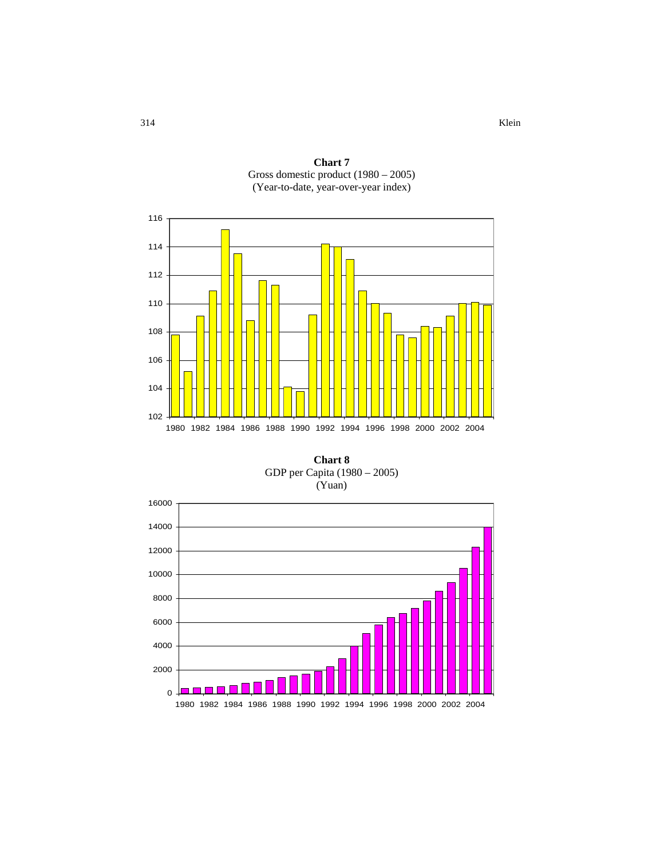**Chart 7**  Gross domestic product (1980 – 2005) (Year-to-date, year-over-year index)



**Chart 8**  GDP per Capita (1980 – 2005) (Yuan)

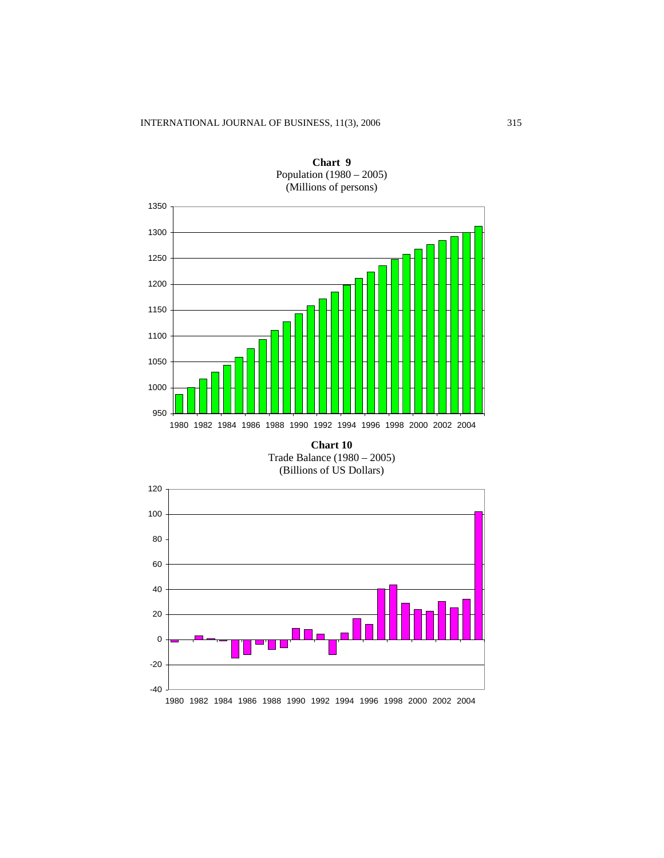

**Chart 9**  Population (1980 – 2005) (Millions of persons)

**Chart 10** Trade Balance (1980 – 2005) (Billions of US Dollars)

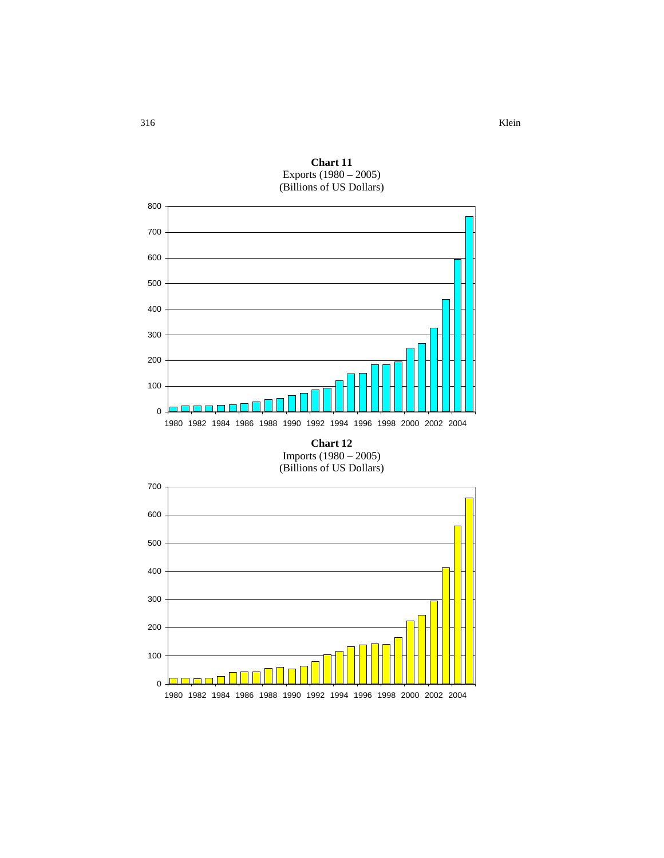

1982 1984 1986 1988 1990 1992 1994 1996 1998 2000 2002 2004

**Chart 11** Exports (1980 – 2005) (Billions of US Dollars)

316 Klein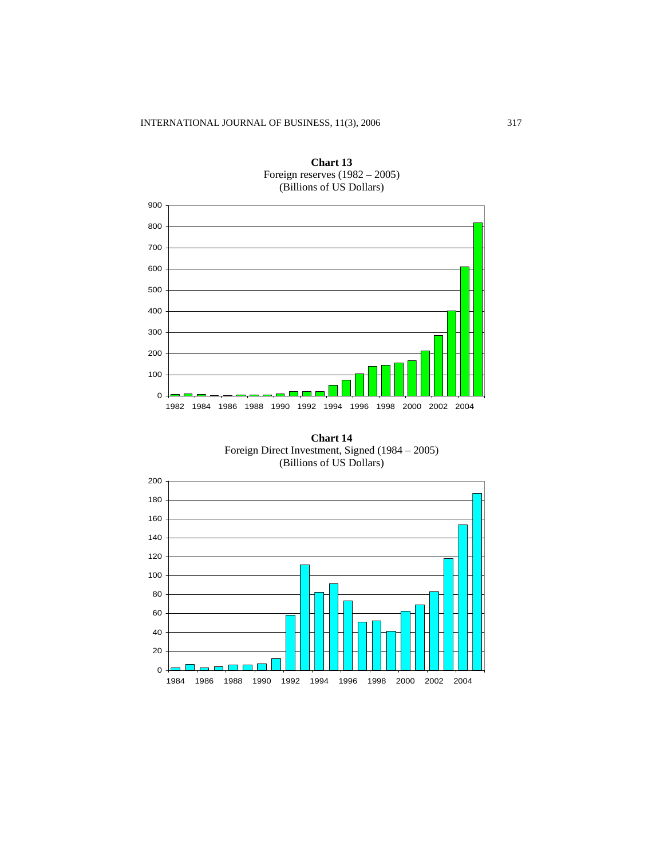

**Chart 13** Foreign reserves (1982 – 2005) (Billions of US Dollars)

**Chart 14** Foreign Direct Investment, Signed (1984 – 2005) (Billions of US Dollars)